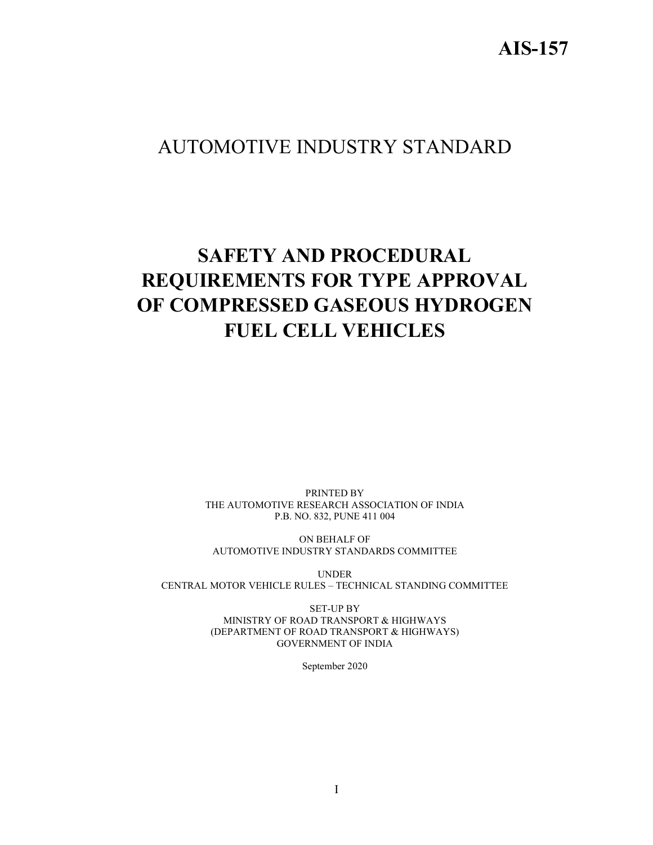# AIS-157

# AUTOMOTIVE INDUSTRY STANDARD

# SAFETY AND PROCEDURAL REQUIREMENTS FOR TYPE APPROVAL OF COMPRESSED GASEOUS HYDROGEN FUEL CELL VEHICLES

PRINTED BY THE AUTOMOTIVE RESEARCH ASSOCIATION OF INDIA P.B. NO. 832, PUNE 411 004

ON BEHALF OF AUTOMOTIVE INDUSTRY STANDARDS COMMITTEE

UNDER CENTRAL MOTOR VEHICLE RULES – TECHNICAL STANDING COMMITTEE

> SET-UP BY MINISTRY OF ROAD TRANSPORT & HIGHWAYS (DEPARTMENT OF ROAD TRANSPORT & HIGHWAYS) GOVERNMENT OF INDIA

> > September 2020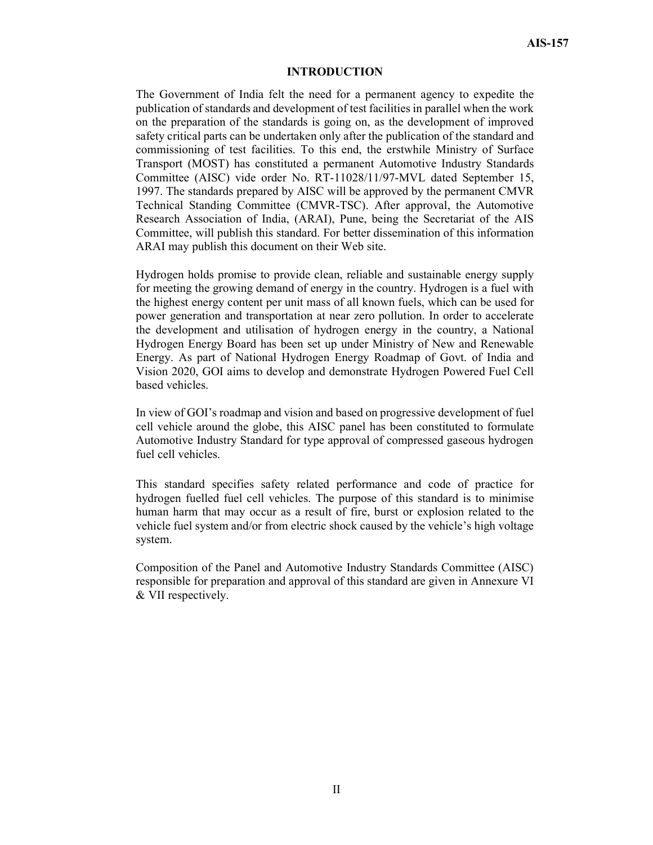#### INTRODUCTION

The Government of India felt the need for a permanent agency to expedite the publication of standards and development of test facilities in parallel when the work on the preparation of the standards is going on, as the development of improved safety critical parts can be undertaken only after the publication of the standard and commissioning of test facilities. To this end, the erstwhile Ministry of Surface Transport (MOST) has constituted a permanent Automotive Industry Standards Committee (AISC) vide order No. RT-11028/11/97-MVL dated September 15, 1997. The standards prepared by AISC will be approved by the permanent CMVR Technical Standing Committee (CMVR-TSC). After approval, the Automotive Research Association of India, (ARAI), Pune, being the Secretariat of the AIS Committee, will publish this standard. For better dissemination of this information ARAI may publish this document on their Web site.

Hydrogen holds promise to provide clean, reliable and sustainable energy supply for meeting the growing demand of energy in the country. Hydrogen is a fuel with the highest energy content per unit mass of all known fuels, which can be used for power generation and transportation at near zero pollution. In order to accelerate the development and utilisation of hydrogen energy in the country, a National Hydrogen Energy Board has been set up under Ministry of New and Renewable Energy. As part of National Hydrogen Energy Roadmap of Govt. of India and Vision 2020, GOI aims to develop and demonstrate Hydrogen Powered Fuel Cell based vehicles.

In view of GOI's roadmap and vision and based on progressive development of fuel cell vehicle around the globe, this AISC panel has been constituted to formulate Automotive Industry Standard for type approval of compressed gaseous hydrogen fuel cell vehicles.

This standard specifies safety related performance and code of practice for hydrogen fuelled fuel cell vehicles. The purpose of this standard is to minimise human harm that may occur as a result of fire, burst or explosion related to the vehicle fuel system and/or from electric shock caused by the vehicle's high voltage system.

Composition of the Panel and Automotive Industry Standards Committee (AISC) responsible for preparation and approval of this standard are given in Annexure VI & VII respectively.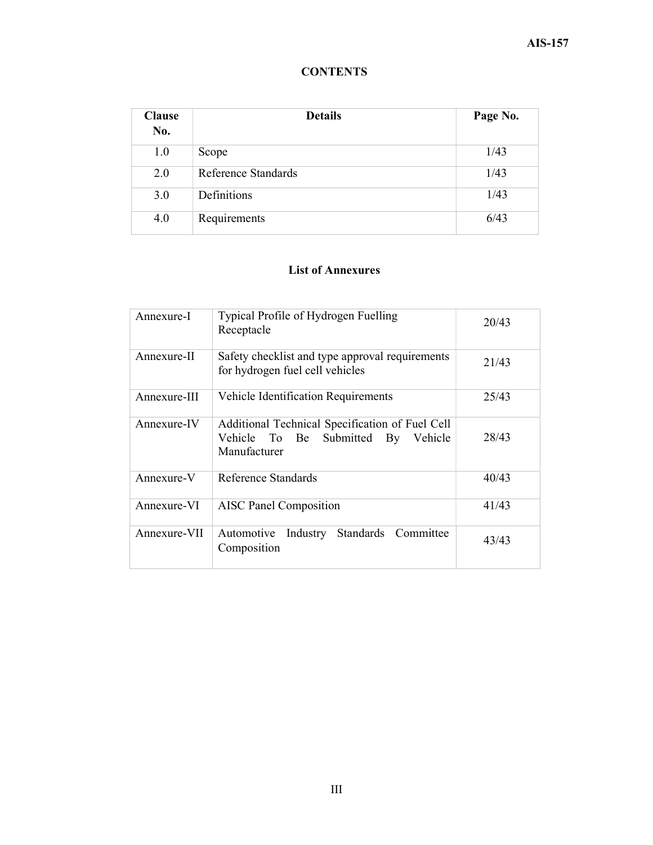## **CONTENTS**

| <b>Clause</b><br>No. | <b>Details</b>      | Page No. |
|----------------------|---------------------|----------|
| 1.0                  | Scope               | 1/43     |
| 2.0                  | Reference Standards | 1/43     |
| 3.0                  | Definitions         | 1/43     |
| 4.0                  | Requirements        | 6/43     |

#### List of Annexures

| Annexure-I   | Typical Profile of Hydrogen Fuelling<br>Receptacle                                                       | 20/43 |
|--------------|----------------------------------------------------------------------------------------------------------|-------|
| Annexure-II  | Safety checklist and type approval requirements<br>for hydrogen fuel cell vehicles                       | 21/43 |
| Annexure-III | Vehicle Identification Requirements                                                                      | 25/43 |
| Annexure-IV  | Additional Technical Specification of Fuel Cell<br>Vehicle To Be Submitted By<br>Vehicle<br>Manufacturer | 28/43 |
| Annexure-V   | Reference Standards                                                                                      | 40/43 |
| Annexure-VI  | <b>AISC Panel Composition</b>                                                                            | 41/43 |
| Annexure-VII | Automotive<br>Industry Standards Committee<br>Composition                                                | 43/43 |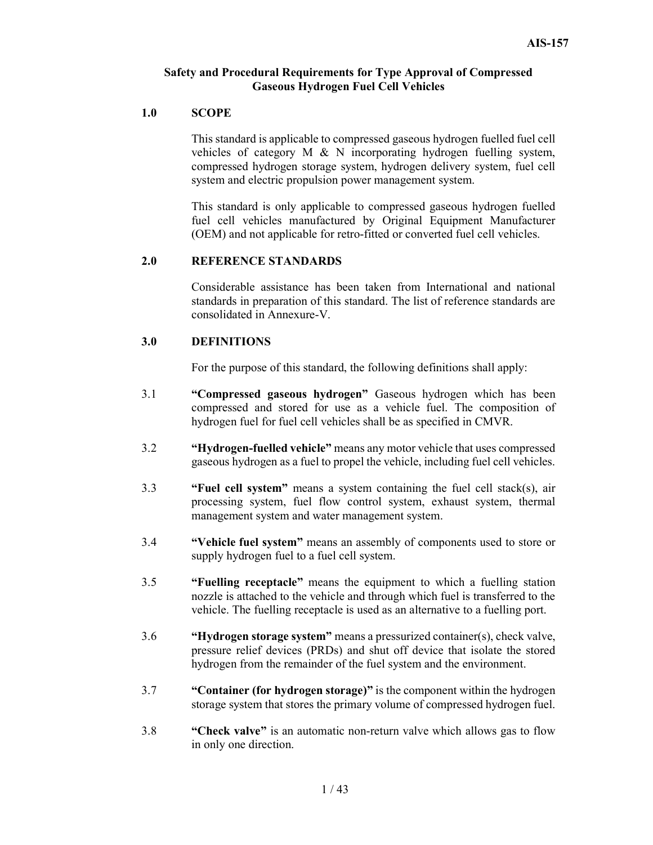#### Safety and Procedural Requirements for Type Approval of Compressed Gaseous Hydrogen Fuel Cell Vehicles

#### 1.0 SCOPE

This standard is applicable to compressed gaseous hydrogen fuelled fuel cell vehicles of category M & N incorporating hydrogen fuelling system, compressed hydrogen storage system, hydrogen delivery system, fuel cell system and electric propulsion power management system.

This standard is only applicable to compressed gaseous hydrogen fuelled fuel cell vehicles manufactured by Original Equipment Manufacturer (OEM) and not applicable for retro-fitted or converted fuel cell vehicles.

#### 2.0 REFERENCE STANDARDS

Considerable assistance has been taken from International and national standards in preparation of this standard. The list of reference standards are consolidated in Annexure-V.

#### 3.0 DEFINITIONS

For the purpose of this standard, the following definitions shall apply:

- 3.1 "Compressed gaseous hydrogen" Gaseous hydrogen which has been compressed and stored for use as a vehicle fuel. The composition of hydrogen fuel for fuel cell vehicles shall be as specified in CMVR.
- 3.2 "Hydrogen-fuelled vehicle" means any motor vehicle that uses compressed gaseous hydrogen as a fuel to propel the vehicle, including fuel cell vehicles.
- 3.3 "Fuel cell system" means a system containing the fuel cell stack(s), air processing system, fuel flow control system, exhaust system, thermal management system and water management system.
- 3.4 "Vehicle fuel system" means an assembly of components used to store or supply hydrogen fuel to a fuel cell system.
- 3.5 "Fuelling receptacle" means the equipment to which a fuelling station nozzle is attached to the vehicle and through which fuel is transferred to the vehicle. The fuelling receptacle is used as an alternative to a fuelling port.
- 3.6 "Hydrogen storage system" means a pressurized container(s), check valve, pressure relief devices (PRDs) and shut off device that isolate the stored hydrogen from the remainder of the fuel system and the environment.
- 3.7 "Container (for hydrogen storage)" is the component within the hydrogen storage system that stores the primary volume of compressed hydrogen fuel.
- 3.8 "Check valve" is an automatic non-return valve which allows gas to flow in only one direction.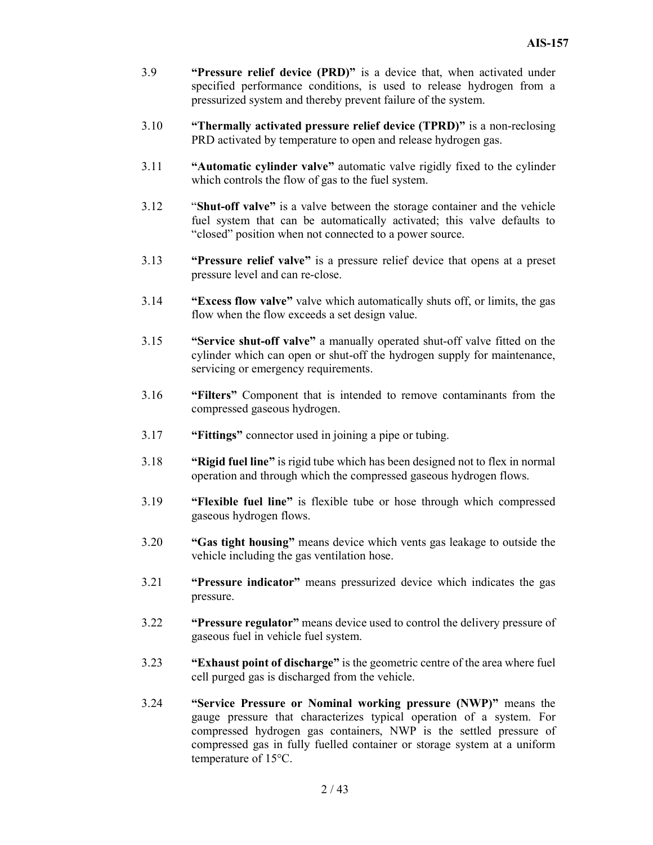- 3.9 "Pressure relief device (PRD)" is a device that, when activated under specified performance conditions, is used to release hydrogen from a pressurized system and thereby prevent failure of the system.
- 3.10 "Thermally activated pressure relief device (TPRD)" is a non-reclosing PRD activated by temperature to open and release hydrogen gas.
- 3.11 "Automatic cylinder valve" automatic valve rigidly fixed to the cylinder which controls the flow of gas to the fuel system.
- 3.12 "Shut-off valve" is a valve between the storage container and the vehicle fuel system that can be automatically activated; this valve defaults to "closed" position when not connected to a power source.
- 3.13 "Pressure relief valve" is a pressure relief device that opens at a preset pressure level and can re-close.
- 3.14 "Excess flow valve" valve which automatically shuts off, or limits, the gas flow when the flow exceeds a set design value.
- 3.15 "Service shut-off valve" a manually operated shut-off valve fitted on the cylinder which can open or shut-off the hydrogen supply for maintenance, servicing or emergency requirements.
- 3.16 "Filters" Component that is intended to remove contaminants from the compressed gaseous hydrogen.
- 3.17 "Fittings" connector used in joining a pipe or tubing.
- 3.18 "Rigid fuel line" is rigid tube which has been designed not to flex in normal operation and through which the compressed gaseous hydrogen flows.
- 3.19 "Flexible fuel line" is flexible tube or hose through which compressed gaseous hydrogen flows.
- 3.20 "Gas tight housing" means device which vents gas leakage to outside the vehicle including the gas ventilation hose.
- 3.21 "Pressure indicator" means pressurized device which indicates the gas pressure.
- 3.22 "Pressure regulator" means device used to control the delivery pressure of gaseous fuel in vehicle fuel system.
- 3.23 "Exhaust point of discharge" is the geometric centre of the area where fuel cell purged gas is discharged from the vehicle.
- 3.24 "Service Pressure or Nominal working pressure (NWP)" means the gauge pressure that characterizes typical operation of a system. For compressed hydrogen gas containers, NWP is the settled pressure of compressed gas in fully fuelled container or storage system at a uniform temperature of 15°C.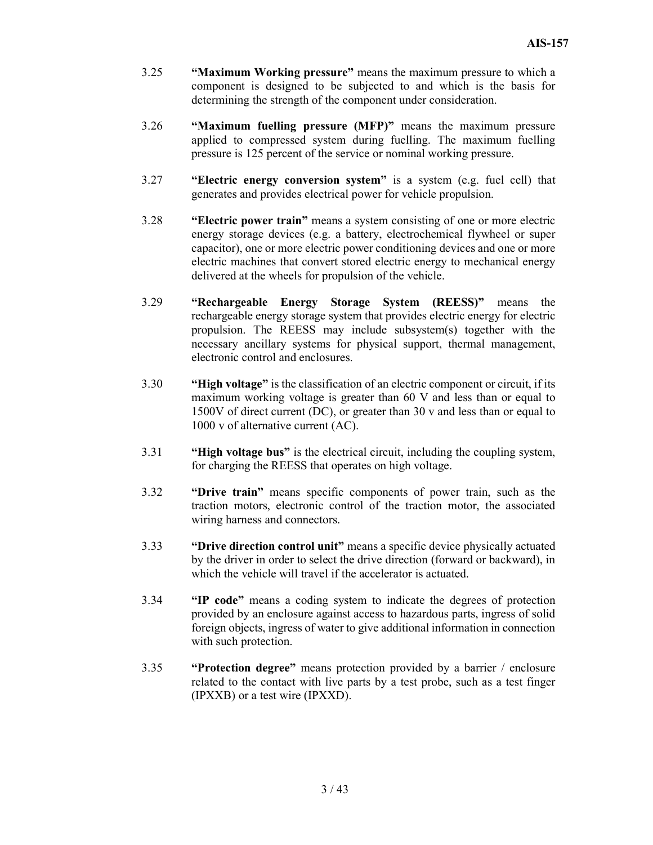- 3.25 "Maximum Working pressure" means the maximum pressure to which a component is designed to be subjected to and which is the basis for determining the strength of the component under consideration.
- 3.26 "Maximum fuelling pressure (MFP)" means the maximum pressure applied to compressed system during fuelling. The maximum fuelling pressure is 125 percent of the service or nominal working pressure.
- 3.27 "Electric energy conversion system" is a system (e.g. fuel cell) that generates and provides electrical power for vehicle propulsion.
- 3.28 "Electric power train" means a system consisting of one or more electric energy storage devices (e.g. a battery, electrochemical flywheel or super capacitor), one or more electric power conditioning devices and one or more electric machines that convert stored electric energy to mechanical energy delivered at the wheels for propulsion of the vehicle.
- 3.29 "Rechargeable Energy Storage System (REESS)" means the rechargeable energy storage system that provides electric energy for electric propulsion. The REESS may include subsystem(s) together with the necessary ancillary systems for physical support, thermal management, electronic control and enclosures.
- 3.30 "High voltage" is the classification of an electric component or circuit, if its maximum working voltage is greater than 60 V and less than or equal to 1500V of direct current (DC), or greater than 30 v and less than or equal to 1000 v of alternative current (AC).
- 3.31 "High voltage bus" is the electrical circuit, including the coupling system, for charging the REESS that operates on high voltage.
- 3.32 "Drive train" means specific components of power train, such as the traction motors, electronic control of the traction motor, the associated wiring harness and connectors.
- 3.33 "Drive direction control unit" means a specific device physically actuated by the driver in order to select the drive direction (forward or backward), in which the vehicle will travel if the accelerator is actuated.
- 3.34 "IP code" means a coding system to indicate the degrees of protection provided by an enclosure against access to hazardous parts, ingress of solid foreign objects, ingress of water to give additional information in connection with such protection.
- 3.35 "Protection degree" means protection provided by a barrier / enclosure related to the contact with live parts by a test probe, such as a test finger (IPXXB) or a test wire (IPXXD).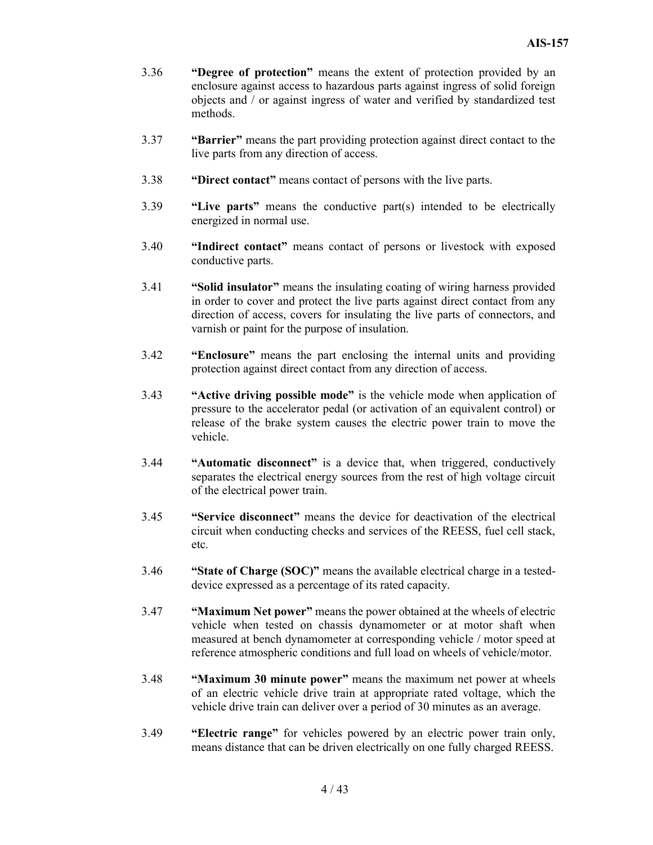- 3.36 "Degree of protection" means the extent of protection provided by an enclosure against access to hazardous parts against ingress of solid foreign objects and / or against ingress of water and verified by standardized test methods.
- 3.37 "Barrier" means the part providing protection against direct contact to the live parts from any direction of access.
- 3.38 "Direct contact" means contact of persons with the live parts.
- 3.39 "Live parts" means the conductive part(s) intended to be electrically energized in normal use.
- 3.40 "Indirect contact" means contact of persons or livestock with exposed conductive parts.
- 3.41 "Solid insulator" means the insulating coating of wiring harness provided in order to cover and protect the live parts against direct contact from any direction of access, covers for insulating the live parts of connectors, and varnish or paint for the purpose of insulation.
- 3.42 "Enclosure" means the part enclosing the internal units and providing protection against direct contact from any direction of access.
- 3.43 "Active driving possible mode" is the vehicle mode when application of pressure to the accelerator pedal (or activation of an equivalent control) or release of the brake system causes the electric power train to move the vehicle.
- 3.44 "Automatic disconnect" is a device that, when triggered, conductively separates the electrical energy sources from the rest of high voltage circuit of the electrical power train.
- 3.45 "Service disconnect" means the device for deactivation of the electrical circuit when conducting checks and services of the REESS, fuel cell stack, etc.
- 3.46 "State of Charge (SOC)" means the available electrical charge in a testeddevice expressed as a percentage of its rated capacity.
- 3.47 "Maximum Net power" means the power obtained at the wheels of electric vehicle when tested on chassis dynamometer or at motor shaft when measured at bench dynamometer at corresponding vehicle / motor speed at reference atmospheric conditions and full load on wheels of vehicle/motor.
- 3.48 "Maximum 30 minute power" means the maximum net power at wheels of an electric vehicle drive train at appropriate rated voltage, which the vehicle drive train can deliver over a period of 30 minutes as an average.
- 3.49 "Electric range" for vehicles powered by an electric power train only, means distance that can be driven electrically on one fully charged REESS.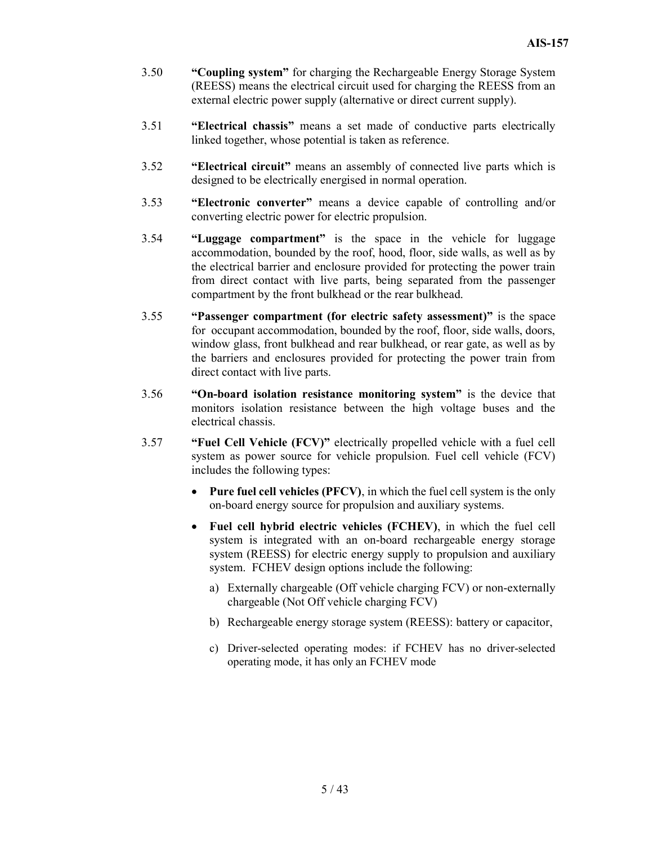- 3.50 "Coupling system" for charging the Rechargeable Energy Storage System (REESS) means the electrical circuit used for charging the REESS from an external electric power supply (alternative or direct current supply).
- 3.51 "Electrical chassis" means a set made of conductive parts electrically linked together, whose potential is taken as reference.
- 3.52 "Electrical circuit" means an assembly of connected live parts which is designed to be electrically energised in normal operation.
- 3.53 "Electronic converter" means a device capable of controlling and/or converting electric power for electric propulsion.
- 3.54 "Luggage compartment" is the space in the vehicle for luggage accommodation, bounded by the roof, hood, floor, side walls, as well as by the electrical barrier and enclosure provided for protecting the power train from direct contact with live parts, being separated from the passenger compartment by the front bulkhead or the rear bulkhead.
- 3.55 "Passenger compartment (for electric safety assessment)" is the space for occupant accommodation, bounded by the roof, floor, side walls, doors, window glass, front bulkhead and rear bulkhead, or rear gate, as well as by the barriers and enclosures provided for protecting the power train from direct contact with live parts.
- 3.56 "On-board isolation resistance monitoring system" is the device that monitors isolation resistance between the high voltage buses and the electrical chassis.
- 3.57 "Fuel Cell Vehicle (FCV)" electrically propelled vehicle with a fuel cell system as power source for vehicle propulsion. Fuel cell vehicle (FCV) includes the following types:
	- Pure fuel cell vehicles (PFCV), in which the fuel cell system is the only on-board energy source for propulsion and auxiliary systems.
	- Fuel cell hybrid electric vehicles (FCHEV), in which the fuel cell system is integrated with an on-board rechargeable energy storage system (REESS) for electric energy supply to propulsion and auxiliary system. FCHEV design options include the following:
		- a) Externally chargeable (Off vehicle charging FCV) or non-externally chargeable (Not Off vehicle charging FCV)
		- b) Rechargeable energy storage system (REESS): battery or capacitor,
		- c) Driver-selected operating modes: if FCHEV has no driver-selected operating mode, it has only an FCHEV mode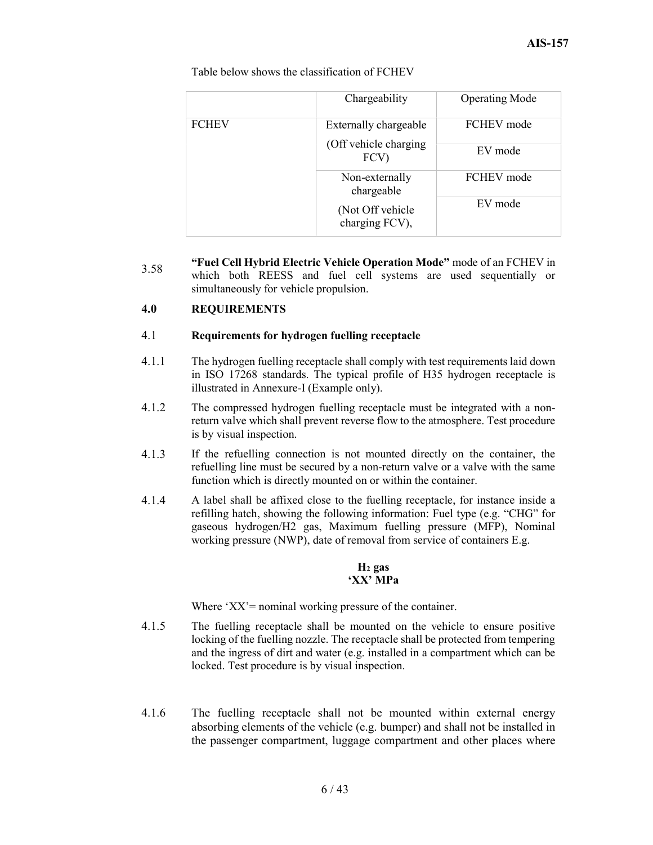Table below shows the classification of FCHEV

|              | Chargeability                       | <b>Operating Mode</b> |
|--------------|-------------------------------------|-----------------------|
| <b>FCHEV</b> | Externally chargeable               | FCHEV mode            |
|              | (Off vehicle charging<br>FCV)       | EV mode               |
|              | Non-externally<br>chargeable        | FCHEV mode            |
|              | (Not Off vehicle)<br>charging FCV), | EV mode               |

3.58 "Fuel Cell Hybrid Electric Vehicle Operation Mode" mode of an FCHEV in which both REESS and fuel cell systems are used sequentially or simultaneously for vehicle propulsion.

#### 4.0 REQUIREMENTS

#### 4.1 Requirements for hydrogen fuelling receptacle

- 4.1.1 The hydrogen fuelling receptacle shall comply with test requirements laid down in ISO 17268 standards. The typical profile of H35 hydrogen receptacle is illustrated in Annexure-I (Example only).
- 4.1.2 The compressed hydrogen fuelling receptacle must be integrated with a nonreturn valve which shall prevent reverse flow to the atmosphere. Test procedure is by visual inspection.
- 4.1.3 If the refuelling connection is not mounted directly on the container, the refuelling line must be secured by a non-return valve or a valve with the same function which is directly mounted on or within the container.
- 4.1.4 A label shall be affixed close to the fuelling receptacle, for instance inside a refilling hatch, showing the following information: Fuel type (e.g. "CHG" for gaseous hydrogen/H2 gas, Maximum fuelling pressure (MFP), Nominal working pressure (NWP), date of removal from service of containers E.g.

#### $H<sub>2</sub>$  gas 'XX' MPa

Where 'XX'= nominal working pressure of the container.

- 4.1.5 The fuelling receptacle shall be mounted on the vehicle to ensure positive locking of the fuelling nozzle. The receptacle shall be protected from tempering and the ingress of dirt and water (e.g. installed in a compartment which can be locked. Test procedure is by visual inspection.
- 4.1.6 The fuelling receptacle shall not be mounted within external energy absorbing elements of the vehicle (e.g. bumper) and shall not be installed in the passenger compartment, luggage compartment and other places where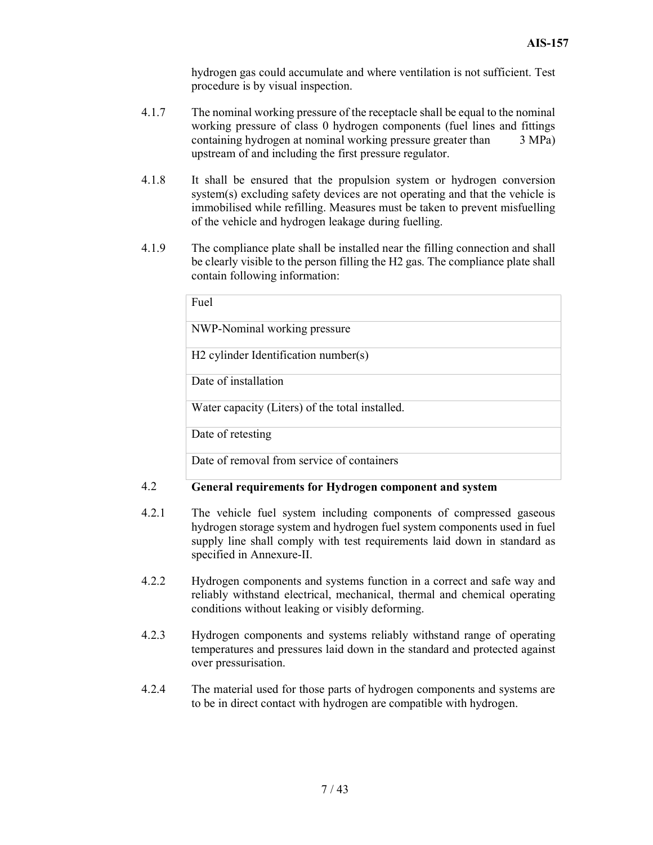hydrogen gas could accumulate and where ventilation is not sufficient. Test procedure is by visual inspection.

- 4.1.7 The nominal working pressure of the receptacle shall be equal to the nominal working pressure of class 0 hydrogen components (fuel lines and fittings containing hydrogen at nominal working pressure greater than 3 MPa) upstream of and including the first pressure regulator.
- 4.1.8 It shall be ensured that the propulsion system or hydrogen conversion system(s) excluding safety devices are not operating and that the vehicle is immobilised while refilling. Measures must be taken to prevent misfuelling of the vehicle and hydrogen leakage during fuelling.
- 4.1.9 The compliance plate shall be installed near the filling connection and shall be clearly visible to the person filling the H2 gas. The compliance plate shall contain following information:

| Fuel                         |                                                  |  |
|------------------------------|--------------------------------------------------|--|
| NWP-Nominal working pressure |                                                  |  |
|                              | H <sub>2</sub> cylinder Identification number(s) |  |
| Date of installation         |                                                  |  |
|                              | Water capacity (Liters) of the total installed.  |  |
| Date of retesting            |                                                  |  |
|                              | Date of removal from service of containers       |  |

#### 4.2 General requirements for Hydrogen component and system

- 4.2.1 The vehicle fuel system including components of compressed gaseous hydrogen storage system and hydrogen fuel system components used in fuel supply line shall comply with test requirements laid down in standard as specified in Annexure-II.
- 4.2.2 Hydrogen components and systems function in a correct and safe way and reliably withstand electrical, mechanical, thermal and chemical operating conditions without leaking or visibly deforming.
- 4.2.3 Hydrogen components and systems reliably withstand range of operating temperatures and pressures laid down in the standard and protected against over pressurisation.
- 4.2.4 The material used for those parts of hydrogen components and systems are to be in direct contact with hydrogen are compatible with hydrogen.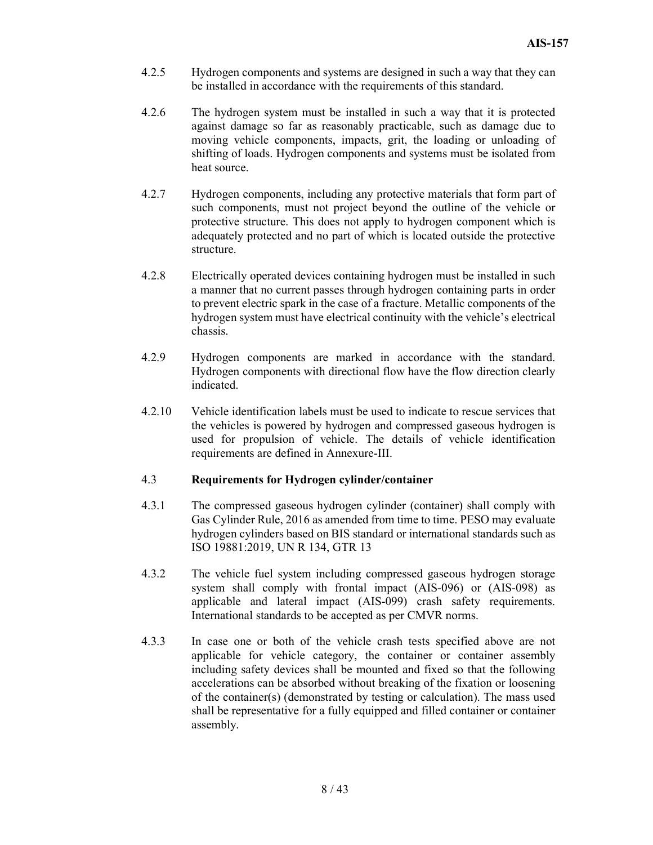- 4.2.5 Hydrogen components and systems are designed in such a way that they can be installed in accordance with the requirements of this standard.
- 4.2.6 The hydrogen system must be installed in such a way that it is protected against damage so far as reasonably practicable, such as damage due to moving vehicle components, impacts, grit, the loading or unloading of shifting of loads. Hydrogen components and systems must be isolated from heat source.
- 4.2.7 Hydrogen components, including any protective materials that form part of such components, must not project beyond the outline of the vehicle or protective structure. This does not apply to hydrogen component which is adequately protected and no part of which is located outside the protective structure.
- 4.2.8 Electrically operated devices containing hydrogen must be installed in such a manner that no current passes through hydrogen containing parts in order to prevent electric spark in the case of a fracture. Metallic components of the hydrogen system must have electrical continuity with the vehicle's electrical chassis.
- 4.2.9 Hydrogen components are marked in accordance with the standard. Hydrogen components with directional flow have the flow direction clearly indicated.
- 4.2.10 Vehicle identification labels must be used to indicate to rescue services that the vehicles is powered by hydrogen and compressed gaseous hydrogen is used for propulsion of vehicle. The details of vehicle identification requirements are defined in Annexure-III.

#### 4.3 Requirements for Hydrogen cylinder/container

- 4.3.1 The compressed gaseous hydrogen cylinder (container) shall comply with Gas Cylinder Rule, 2016 as amended from time to time. PESO may evaluate hydrogen cylinders based on BIS standard or international standards such as ISO 19881:2019, UN R 134, GTR 13
- 4.3.2 The vehicle fuel system including compressed gaseous hydrogen storage system shall comply with frontal impact (AIS-096) or (AIS-098) as applicable and lateral impact (AIS-099) crash safety requirements. International standards to be accepted as per CMVR norms.
- 4.3.3 In case one or both of the vehicle crash tests specified above are not applicable for vehicle category, the container or container assembly including safety devices shall be mounted and fixed so that the following accelerations can be absorbed without breaking of the fixation or loosening of the container(s) (demonstrated by testing or calculation). The mass used shall be representative for a fully equipped and filled container or container assembly.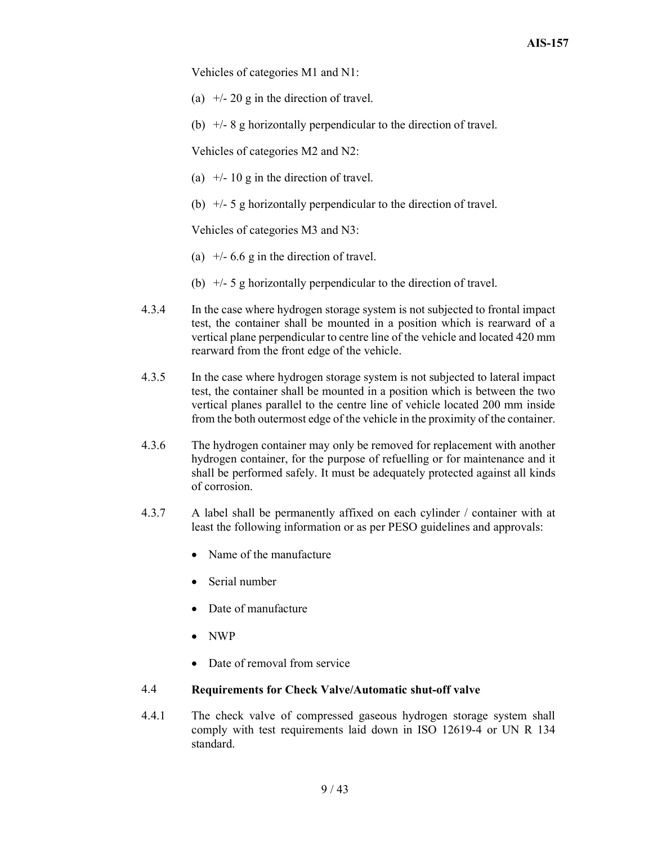Vehicles of categories M1 and N1:

- (a)  $+/- 20$  g in the direction of travel.
- (b)  $+/-$  8 g horizontally perpendicular to the direction of travel.

Vehicles of categories M2 and N2:

- (a)  $+/- 10$  g in the direction of travel.
- (b)  $+/-$  5 g horizontally perpendicular to the direction of travel.

Vehicles of categories M3 and N3:

- (a)  $+/- 6.6$  g in the direction of travel.
- (b)  $+/-$  5 g horizontally perpendicular to the direction of travel.
- 4.3.4 In the case where hydrogen storage system is not subjected to frontal impact test, the container shall be mounted in a position which is rearward of a vertical plane perpendicular to centre line of the vehicle and located 420 mm rearward from the front edge of the vehicle.
- 4.3.5 In the case where hydrogen storage system is not subjected to lateral impact test, the container shall be mounted in a position which is between the two vertical planes parallel to the centre line of vehicle located 200 mm inside from the both outermost edge of the vehicle in the proximity of the container.
- 4.3.6 The hydrogen container may only be removed for replacement with another hydrogen container, for the purpose of refuelling or for maintenance and it shall be performed safely. It must be adequately protected against all kinds of corrosion.
- 4.3.7 A label shall be permanently affixed on each cylinder / container with at least the following information or as per PESO guidelines and approvals:
	- Name of the manufacture
	- Serial number
	- Date of manufacture
	- NWP
	- Date of removal from service

#### 4.4 Requirements for Check Valve/Automatic shut-off valve

4.4.1 The check valve of compressed gaseous hydrogen storage system shall comply with test requirements laid down in ISO 12619-4 or UN R 134 standard.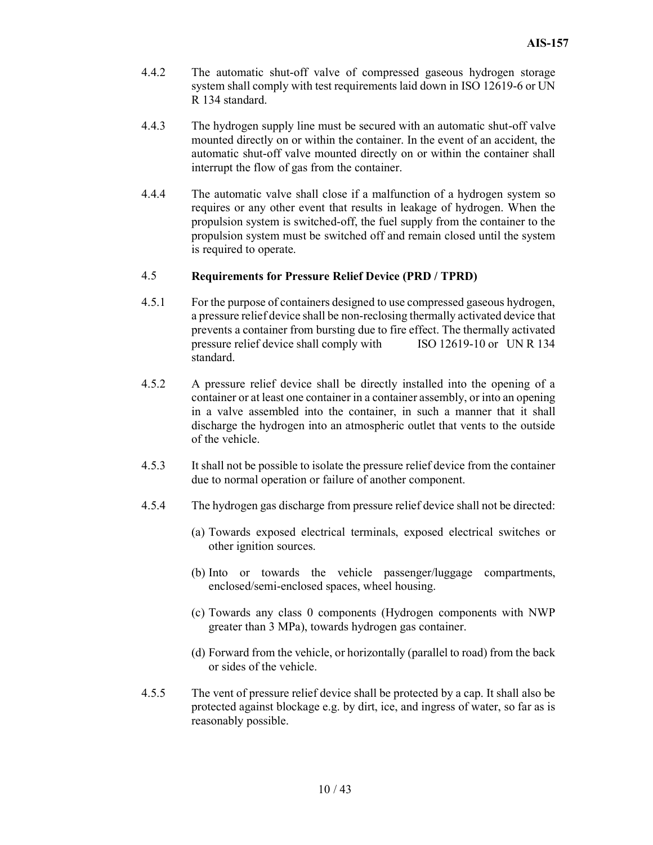- 4.4.2 The automatic shut-off valve of compressed gaseous hydrogen storage system shall comply with test requirements laid down in ISO 12619-6 or UN R 134 standard.
- 4.4.3 The hydrogen supply line must be secured with an automatic shut-off valve mounted directly on or within the container. In the event of an accident, the automatic shut-off valve mounted directly on or within the container shall interrupt the flow of gas from the container.
- 4.4.4 The automatic valve shall close if a malfunction of a hydrogen system so requires or any other event that results in leakage of hydrogen. When the propulsion system is switched-off, the fuel supply from the container to the propulsion system must be switched off and remain closed until the system is required to operate.

#### 4.5 Requirements for Pressure Relief Device (PRD / TPRD)

- 4.5.1 For the purpose of containers designed to use compressed gaseous hydrogen, a pressure relief device shall be non-reclosing thermally activated device that prevents a container from bursting due to fire effect. The thermally activated pressure relief device shall comply with ISO 12619-10 or UN R 134 standard.
- 4.5.2 A pressure relief device shall be directly installed into the opening of a container or at least one container in a container assembly, or into an opening in a valve assembled into the container, in such a manner that it shall discharge the hydrogen into an atmospheric outlet that vents to the outside of the vehicle.
- 4.5.3 It shall not be possible to isolate the pressure relief device from the container due to normal operation or failure of another component.
- 4.5.4 The hydrogen gas discharge from pressure relief device shall not be directed:
	- (a) Towards exposed electrical terminals, exposed electrical switches or other ignition sources.
	- (b) Into or towards the vehicle passenger/luggage compartments, enclosed/semi-enclosed spaces, wheel housing.
	- (c) Towards any class 0 components (Hydrogen components with NWP greater than 3 MPa), towards hydrogen gas container.
	- (d) Forward from the vehicle, or horizontally (parallel to road) from the back or sides of the vehicle.
- 4.5.5 The vent of pressure relief device shall be protected by a cap. It shall also be protected against blockage e.g. by dirt, ice, and ingress of water, so far as is reasonably possible.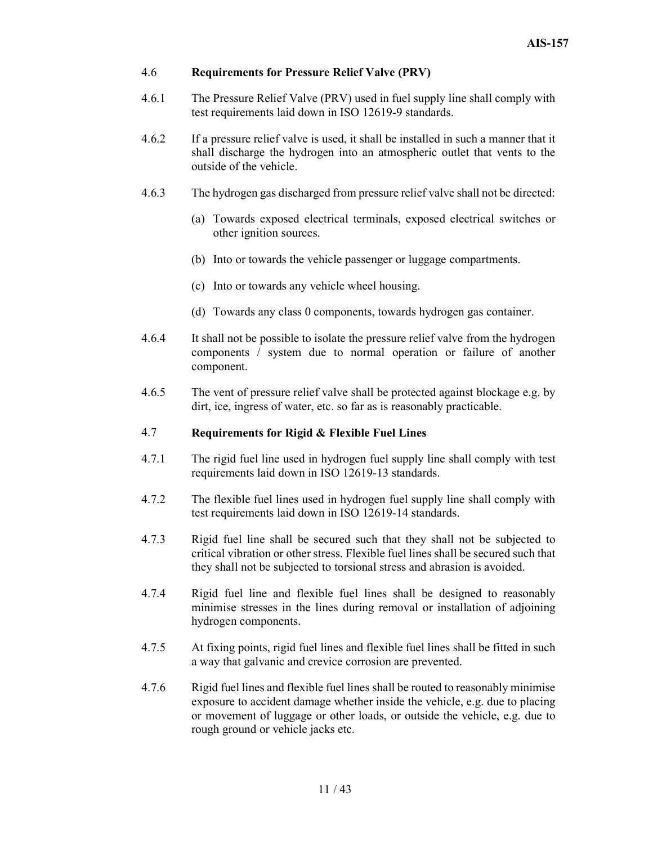#### 4.6 Requirements for Pressure Relief Valve (PRV)

- 4.6.1 The Pressure Relief Valve (PRV) used in fuel supply line shall comply with test requirements laid down in ISO 12619-9 standards.
- 4.6.2 If a pressure relief valve is used, it shall be installed in such a manner that it shall discharge the hydrogen into an atmospheric outlet that vents to the outside of the vehicle.
- 4.6.3 The hydrogen gas discharged from pressure relief valve shall not be directed:
	- (a) Towards exposed electrical terminals, exposed electrical switches or other ignition sources.
	- (b) Into or towards the vehicle passenger or luggage compartments.
	- (c) Into or towards any vehicle wheel housing.
	- (d) Towards any class 0 components, towards hydrogen gas container.
- 4.6.4 It shall not be possible to isolate the pressure relief valve from the hydrogen components / system due to normal operation or failure of another component.
- 4.6.5 The vent of pressure relief valve shall be protected against blockage e.g. by dirt, ice, ingress of water, etc. so far as is reasonably practicable.

#### 4.7 Requirements for Rigid  $&$  Flexible Fuel Lines

- 4.7.1 The rigid fuel line used in hydrogen fuel supply line shall comply with test requirements laid down in ISO 12619-13 standards.
- 4.7.2 The flexible fuel lines used in hydrogen fuel supply line shall comply with test requirements laid down in ISO 12619-14 standards.
- 4.7.3 Rigid fuel line shall be secured such that they shall not be subjected to critical vibration or other stress. Flexible fuel lines shall be secured such that they shall not be subjected to torsional stress and abrasion is avoided.
- 4.7.4 Rigid fuel line and flexible fuel lines shall be designed to reasonably minimise stresses in the lines during removal or installation of adjoining hydrogen components.
- 4.7.5 At fixing points, rigid fuel lines and flexible fuel lines shall be fitted in such a way that galvanic and crevice corrosion are prevented.
- 4.7.6 Rigid fuel lines and flexible fuel lines shall be routed to reasonably minimise exposure to accident damage whether inside the vehicle, e.g. due to placing or movement of luggage or other loads, or outside the vehicle, e.g. due to rough ground or vehicle jacks etc.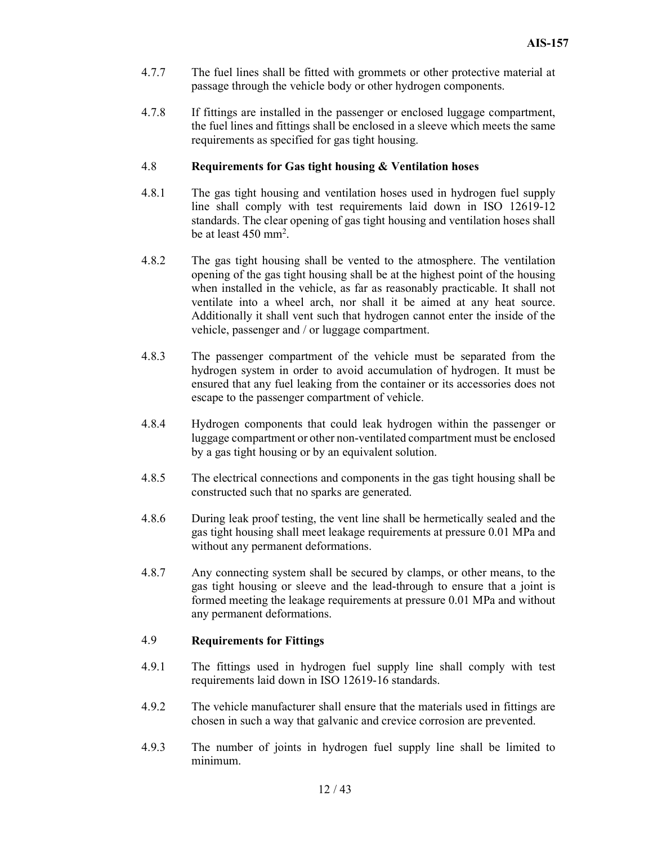- 4.7.7 The fuel lines shall be fitted with grommets or other protective material at passage through the vehicle body or other hydrogen components.
- 4.7.8 If fittings are installed in the passenger or enclosed luggage compartment, the fuel lines and fittings shall be enclosed in a sleeve which meets the same requirements as specified for gas tight housing.

#### 4.8 Requirements for Gas tight housing & Ventilation hoses

- 4.8.1 The gas tight housing and ventilation hoses used in hydrogen fuel supply line shall comply with test requirements laid down in ISO 12619-12 standards. The clear opening of gas tight housing and ventilation hoses shall be at least 450 mm<sup>2</sup>.
- 4.8.2 The gas tight housing shall be vented to the atmosphere. The ventilation opening of the gas tight housing shall be at the highest point of the housing when installed in the vehicle, as far as reasonably practicable. It shall not ventilate into a wheel arch, nor shall it be aimed at any heat source. Additionally it shall vent such that hydrogen cannot enter the inside of the vehicle, passenger and / or luggage compartment.
- 4.8.3 The passenger compartment of the vehicle must be separated from the hydrogen system in order to avoid accumulation of hydrogen. It must be ensured that any fuel leaking from the container or its accessories does not escape to the passenger compartment of vehicle.
- 4.8.4 Hydrogen components that could leak hydrogen within the passenger or luggage compartment or other non-ventilated compartment must be enclosed by a gas tight housing or by an equivalent solution.
- 4.8.5 The electrical connections and components in the gas tight housing shall be constructed such that no sparks are generated.
- 4.8.6 During leak proof testing, the vent line shall be hermetically sealed and the gas tight housing shall meet leakage requirements at pressure 0.01 MPa and without any permanent deformations.
- 4.8.7 Any connecting system shall be secured by clamps, or other means, to the gas tight housing or sleeve and the lead-through to ensure that a joint is formed meeting the leakage requirements at pressure 0.01 MPa and without any permanent deformations.

### 4.9 Requirements for Fittings

- 4.9.1 The fittings used in hydrogen fuel supply line shall comply with test requirements laid down in ISO 12619-16 standards.
- 4.9.2 The vehicle manufacturer shall ensure that the materials used in fittings are chosen in such a way that galvanic and crevice corrosion are prevented.
- 4.9.3 The number of joints in hydrogen fuel supply line shall be limited to minimum.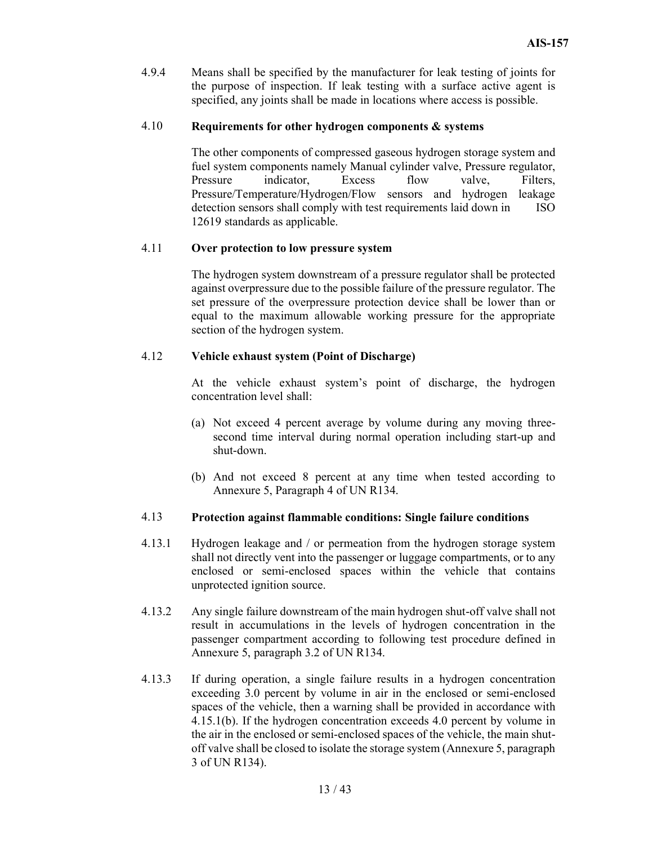4.9.4 Means shall be specified by the manufacturer for leak testing of joints for the purpose of inspection. If leak testing with a surface active agent is specified, any joints shall be made in locations where access is possible.

#### 4.10 Requirements for other hydrogen components & systems

 The other components of compressed gaseous hydrogen storage system and fuel system components namely Manual cylinder valve, Pressure regulator, Pressure indicator, Excess flow valve, Filters, Pressure/Temperature/Hydrogen/Flow sensors and hydrogen leakage detection sensors shall comply with test requirements laid down in ISO 12619 standards as applicable.

#### 4.11 Over protection to low pressure system

The hydrogen system downstream of a pressure regulator shall be protected against overpressure due to the possible failure of the pressure regulator. The set pressure of the overpressure protection device shall be lower than or equal to the maximum allowable working pressure for the appropriate section of the hydrogen system.

#### 4.12 Vehicle exhaust system (Point of Discharge)

At the vehicle exhaust system's point of discharge, the hydrogen concentration level shall:

- (a) Not exceed 4 percent average by volume during any moving threesecond time interval during normal operation including start-up and shut-down.
- (b) And not exceed 8 percent at any time when tested according to Annexure 5, Paragraph 4 of UN R134.

#### 4.13 Protection against flammable conditions: Single failure conditions

- 4.13.1 Hydrogen leakage and / or permeation from the hydrogen storage system shall not directly vent into the passenger or luggage compartments, or to any enclosed or semi-enclosed spaces within the vehicle that contains unprotected ignition source.
- 4.13.2 Any single failure downstream of the main hydrogen shut-off valve shall not result in accumulations in the levels of hydrogen concentration in the passenger compartment according to following test procedure defined in Annexure 5, paragraph 3.2 of UN R134.
- 4.13.3 If during operation, a single failure results in a hydrogen concentration exceeding 3.0 percent by volume in air in the enclosed or semi-enclosed spaces of the vehicle, then a warning shall be provided in accordance with 4.15.1(b). If the hydrogen concentration exceeds 4.0 percent by volume in the air in the enclosed or semi-enclosed spaces of the vehicle, the main shutoff valve shall be closed to isolate the storage system (Annexure 5, paragraph 3 of UN R134).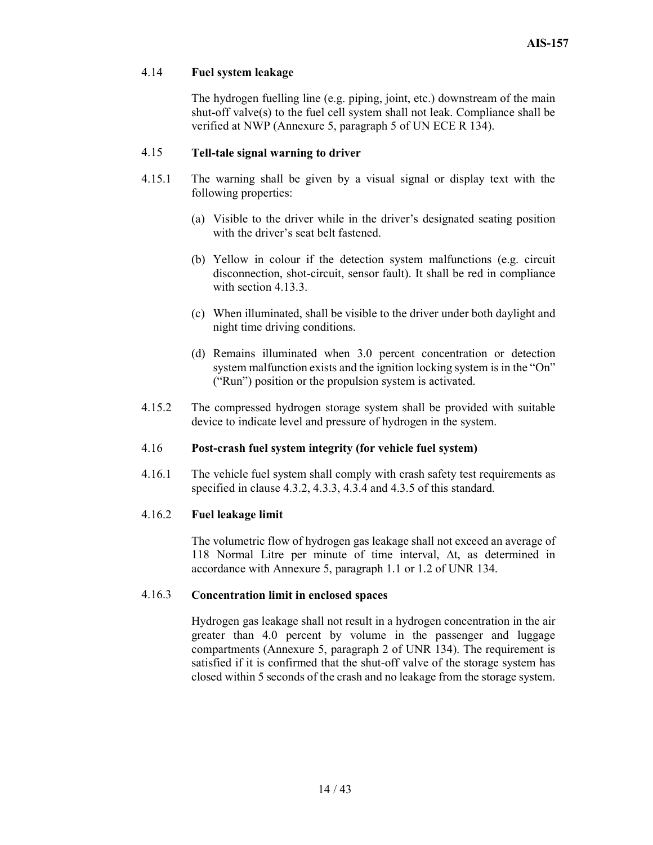#### 4.14 Fuel system leakage

 The hydrogen fuelling line (e.g. piping, joint, etc.) downstream of the main shut-off valve(s) to the fuel cell system shall not leak. Compliance shall be verified at NWP (Annexure 5, paragraph 5 of UN ECE R 134).

#### 4.15 Tell-tale signal warning to driver

- 4.15.1 The warning shall be given by a visual signal or display text with the following properties:
	- (a) Visible to the driver while in the driver's designated seating position with the driver's seat belt fastened.
	- (b) Yellow in colour if the detection system malfunctions (e.g. circuit disconnection, shot-circuit, sensor fault). It shall be red in compliance with section 4.13.3.
	- (c) When illuminated, shall be visible to the driver under both daylight and night time driving conditions.
	- (d) Remains illuminated when 3.0 percent concentration or detection system malfunction exists and the ignition locking system is in the "On" ("Run") position or the propulsion system is activated.
- 4.15.2 The compressed hydrogen storage system shall be provided with suitable device to indicate level and pressure of hydrogen in the system.

#### 4.16 Post-crash fuel system integrity (for vehicle fuel system)

4.16.1 The vehicle fuel system shall comply with crash safety test requirements as specified in clause 4.3.2, 4.3.3, 4.3.4 and 4.3.5 of this standard.

#### 4.16.2 Fuel leakage limit

The volumetric flow of hydrogen gas leakage shall not exceed an average of 118 Normal Litre per minute of time interval, ∆t, as determined in accordance with Annexure 5, paragraph 1.1 or 1.2 of UNR 134.

#### 4.16.3 Concentration limit in enclosed spaces

Hydrogen gas leakage shall not result in a hydrogen concentration in the air greater than 4.0 percent by volume in the passenger and luggage compartments (Annexure 5, paragraph 2 of UNR 134). The requirement is satisfied if it is confirmed that the shut-off valve of the storage system has closed within 5 seconds of the crash and no leakage from the storage system.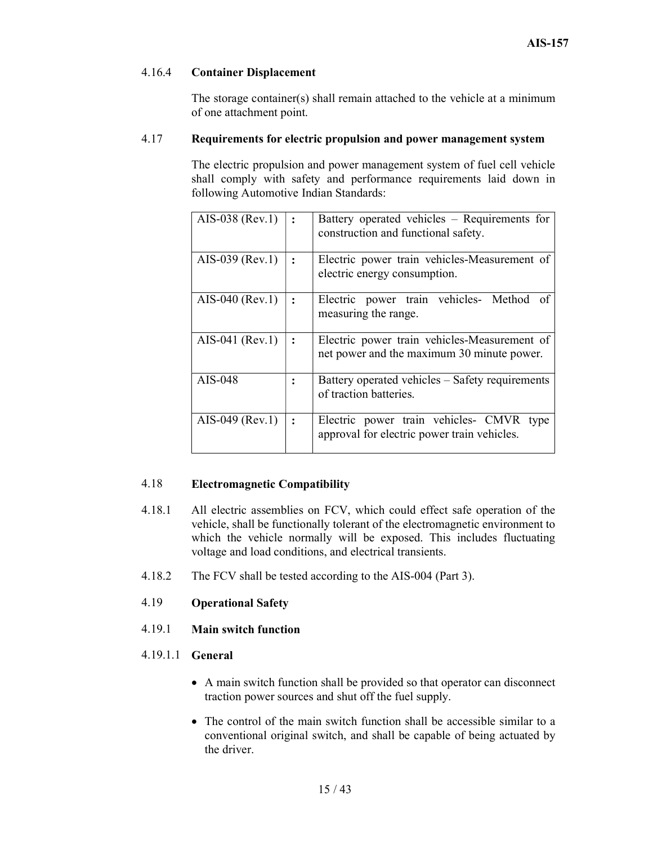#### 4.16.4 Container Displacement

 The storage container(s) shall remain attached to the vehicle at a minimum of one attachment point.

#### 4.17 Requirements for electric propulsion and power management system

 The electric propulsion and power management system of fuel cell vehicle shall comply with safety and performance requirements laid down in following Automotive Indian Standards:

| AIS-038 (Rev.1)   | Battery operated vehicles – Requirements for<br>construction and functional safety.        |
|-------------------|--------------------------------------------------------------------------------------------|
| $AIS-039$ (Rev.1) | Electric power train vehicles-Measurement of<br>electric energy consumption.               |
| $AIS-040$ (Rev.1) | Electric power train vehicles- Method of<br>measuring the range.                           |
| AIS-041 (Rev.1)   | Electric power train vehicles-Measurement of<br>net power and the maximum 30 minute power. |
| AIS-048           | Battery operated vehicles – Safety requirements<br>of traction batteries.                  |
| AIS-049 (Rev.1)   | Electric power train vehicles- CMVR<br>type<br>approval for electric power train vehicles. |

#### 4.18 Electromagnetic Compatibility

- 4.18.1 All electric assemblies on FCV, which could effect safe operation of the vehicle, shall be functionally tolerant of the electromagnetic environment to which the vehicle normally will be exposed. This includes fluctuating voltage and load conditions, and electrical transients.
- 4.18.2 The FCV shall be tested according to the AIS-004 (Part 3).
- 4.19 Operational Safety
- 4.19.1 Main switch function
- 4.19.1.1 General
	- A main switch function shall be provided so that operator can disconnect traction power sources and shut off the fuel supply.
	- The control of the main switch function shall be accessible similar to a conventional original switch, and shall be capable of being actuated by the driver.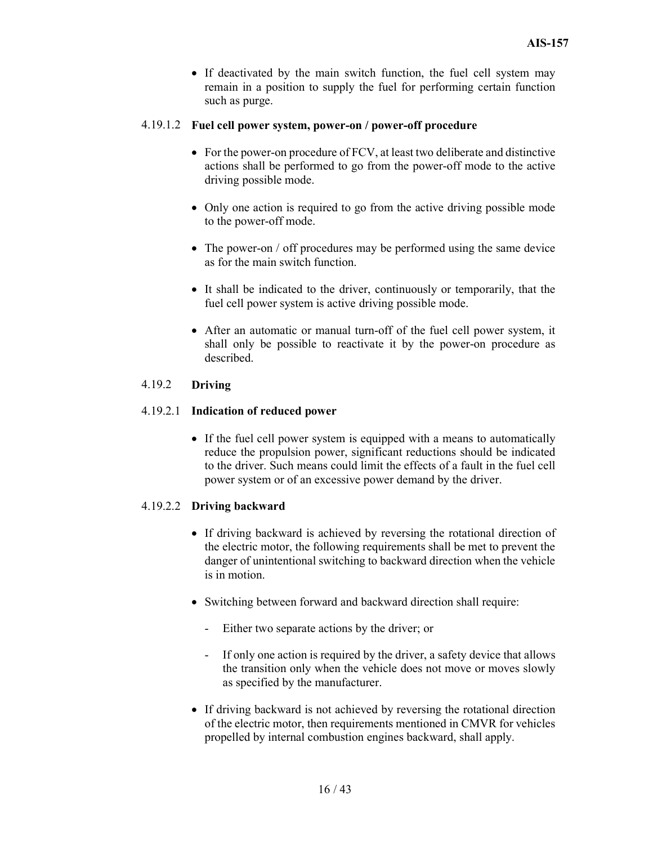• If deactivated by the main switch function, the fuel cell system may remain in a position to supply the fuel for performing certain function such as purge.

#### 4.19.1.2 Fuel cell power system, power-on / power-off procedure

- For the power-on procedure of FCV, at least two deliberate and distinctive actions shall be performed to go from the power-off mode to the active driving possible mode.
- Only one action is required to go from the active driving possible mode to the power-off mode.
- The power-on / off procedures may be performed using the same device as for the main switch function.
- It shall be indicated to the driver, continuously or temporarily, that the fuel cell power system is active driving possible mode.
- After an automatic or manual turn-off of the fuel cell power system, it shall only be possible to reactivate it by the power-on procedure as described.

#### 4.19.2 Driving

#### 4.19.2.1 Indication of reduced power

• If the fuel cell power system is equipped with a means to automatically reduce the propulsion power, significant reductions should be indicated to the driver. Such means could limit the effects of a fault in the fuel cell power system or of an excessive power demand by the driver.

#### 4.19.2.2 Driving backward

- If driving backward is achieved by reversing the rotational direction of the electric motor, the following requirements shall be met to prevent the danger of unintentional switching to backward direction when the vehicle is in motion.
- Switching between forward and backward direction shall require:
	- Either two separate actions by the driver; or
	- If only one action is required by the driver, a safety device that allows the transition only when the vehicle does not move or moves slowly as specified by the manufacturer.
- If driving backward is not achieved by reversing the rotational direction of the electric motor, then requirements mentioned in CMVR for vehicles propelled by internal combustion engines backward, shall apply.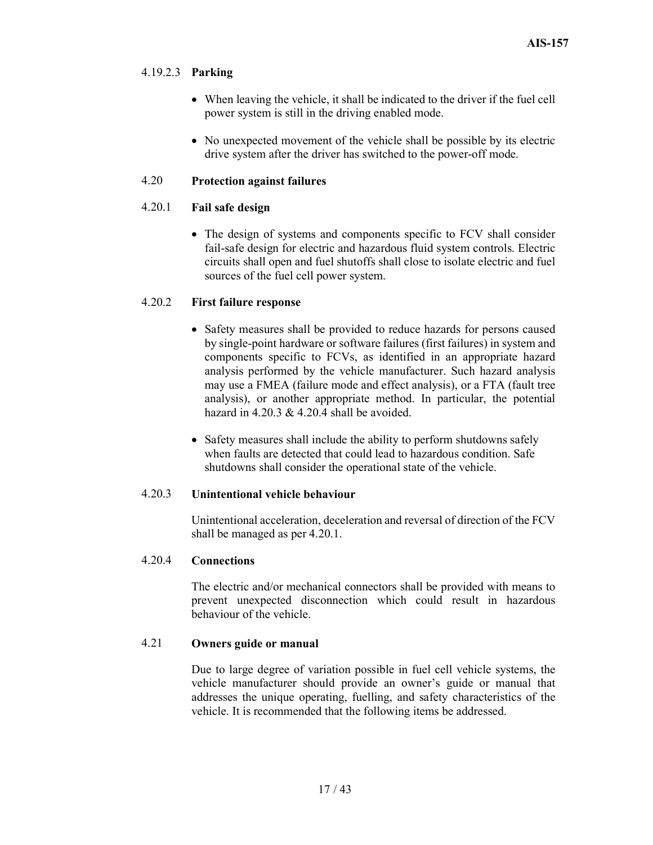#### 4.19.2.3 Parking

- When leaving the vehicle, it shall be indicated to the driver if the fuel cell power system is still in the driving enabled mode.
- No unexpected movement of the vehicle shall be possible by its electric drive system after the driver has switched to the power-off mode.

#### 4.20 Protection against failures

#### 4.20.1 Fail safe design

 The design of systems and components specific to FCV shall consider fail-safe design for electric and hazardous fluid system controls. Electric circuits shall open and fuel shutoffs shall close to isolate electric and fuel sources of the fuel cell power system.

#### 4.20.2 First failure response

- Safety measures shall be provided to reduce hazards for persons caused by single-point hardware or software failures (first failures) in system and components specific to FCVs, as identified in an appropriate hazard analysis performed by the vehicle manufacturer. Such hazard analysis may use a FMEA (failure mode and effect analysis), or a FTA (fault tree analysis), or another appropriate method. In particular, the potential hazard in  $4.20.3 \& 4.20.4$  shall be avoided.
- Safety measures shall include the ability to perform shutdowns safely when faults are detected that could lead to hazardous condition. Safe shutdowns shall consider the operational state of the vehicle.

#### 4.20.3 Unintentional vehicle behaviour

 Unintentional acceleration, deceleration and reversal of direction of the FCV shall be managed as per 4.20.1.

#### 4.20.4 Connections

 The electric and/or mechanical connectors shall be provided with means to prevent unexpected disconnection which could result in hazardous behaviour of the vehicle.

#### 4.21 Owners guide or manual

Due to large degree of variation possible in fuel cell vehicle systems, the vehicle manufacturer should provide an owner's guide or manual that addresses the unique operating, fuelling, and safety characteristics of the vehicle. It is recommended that the following items be addressed.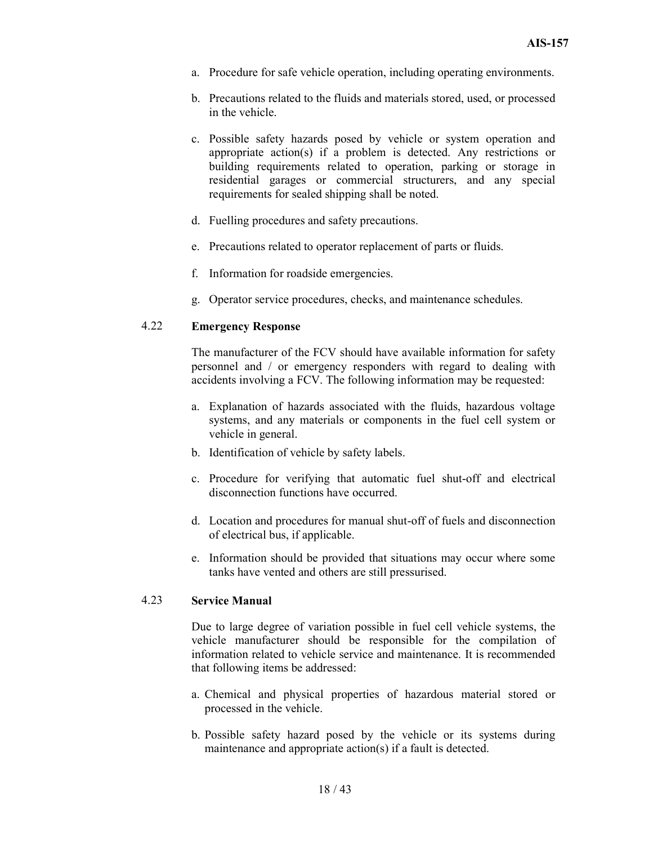- a. Procedure for safe vehicle operation, including operating environments.
- b. Precautions related to the fluids and materials stored, used, or processed in the vehicle.
- c. Possible safety hazards posed by vehicle or system operation and appropriate action(s) if a problem is detected. Any restrictions or building requirements related to operation, parking or storage in residential garages or commercial structurers, and any special requirements for sealed shipping shall be noted.
- d. Fuelling procedures and safety precautions.
- e. Precautions related to operator replacement of parts or fluids.
- f. Information for roadside emergencies.
- g. Operator service procedures, checks, and maintenance schedules.

#### 4.22 Emergency Response

The manufacturer of the FCV should have available information for safety personnel and / or emergency responders with regard to dealing with accidents involving a FCV. The following information may be requested:

- a. Explanation of hazards associated with the fluids, hazardous voltage systems, and any materials or components in the fuel cell system or vehicle in general.
- b. Identification of vehicle by safety labels.
- c. Procedure for verifying that automatic fuel shut-off and electrical disconnection functions have occurred.
- d. Location and procedures for manual shut-off of fuels and disconnection of electrical bus, if applicable.
- e. Information should be provided that situations may occur where some tanks have vented and others are still pressurised.

#### 4.23 Service Manual

 Due to large degree of variation possible in fuel cell vehicle systems, the vehicle manufacturer should be responsible for the compilation of information related to vehicle service and maintenance. It is recommended that following items be addressed:

- a. Chemical and physical properties of hazardous material stored or processed in the vehicle.
- b. Possible safety hazard posed by the vehicle or its systems during maintenance and appropriate action(s) if a fault is detected.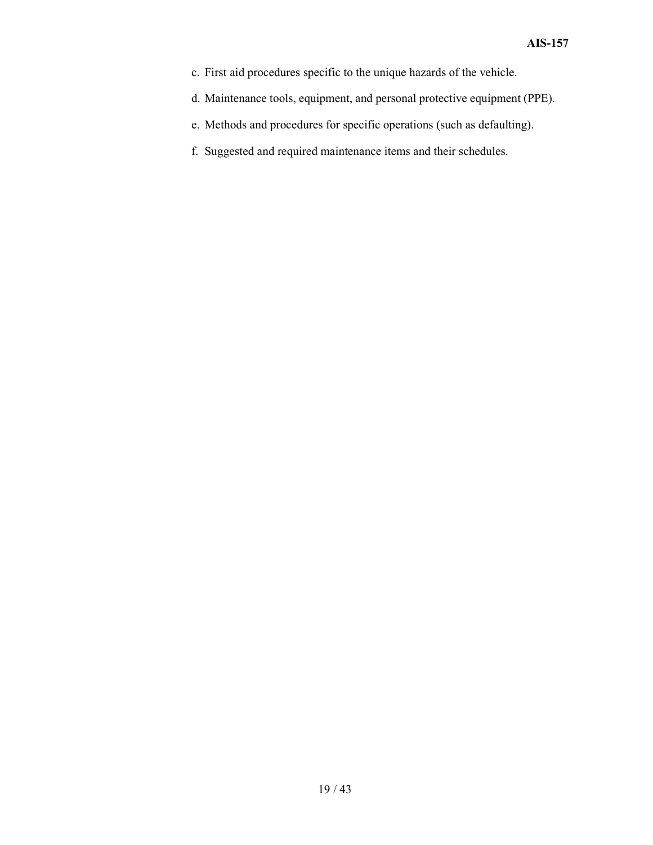- c. First aid procedures specific to the unique hazards of the vehicle.
- d. Maintenance tools, equipment, and personal protective equipment (PPE).
- e. Methods and procedures for specific operations (such as defaulting).
- f. Suggested and required maintenance items and their schedules.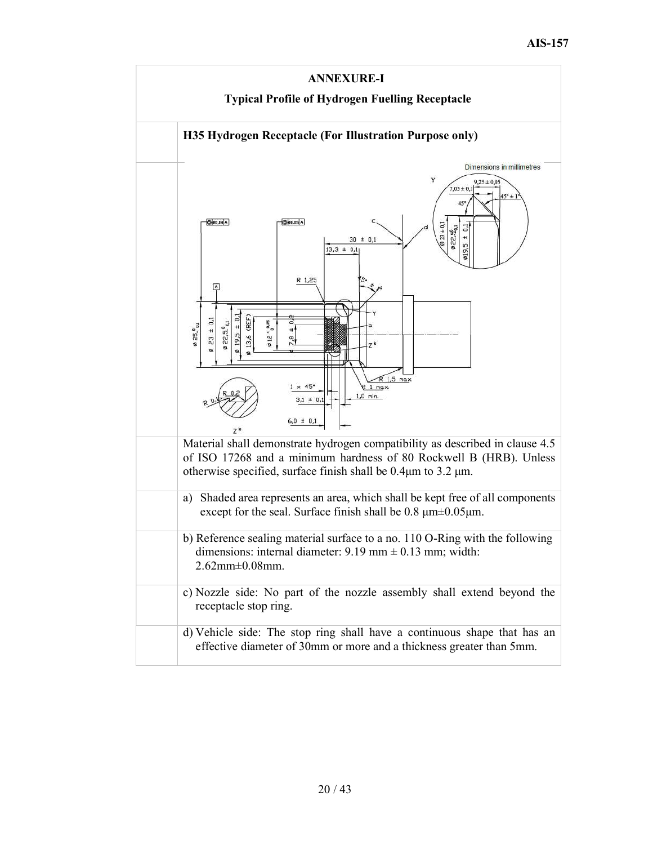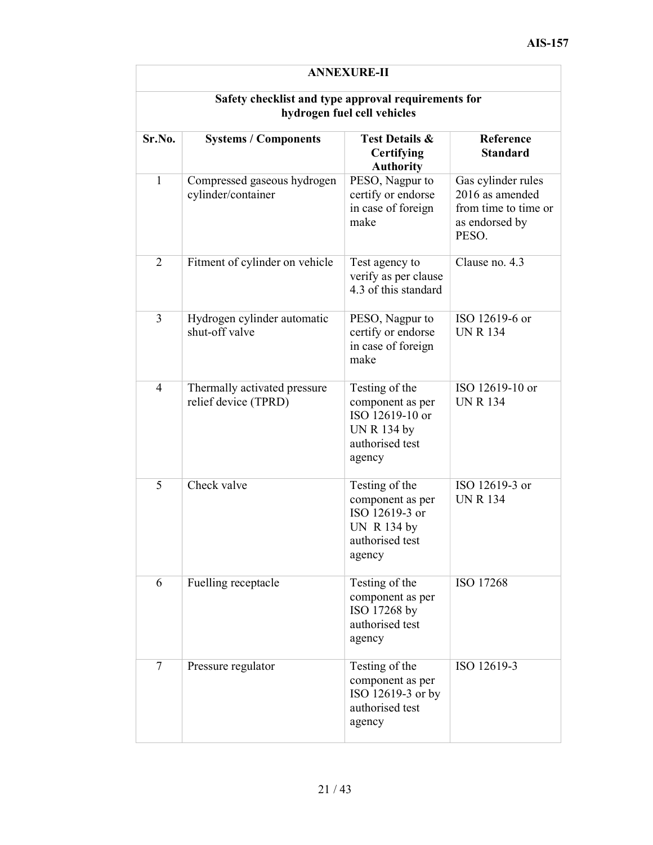| <b>ANNEXURE-II</b>                                                                 |                                                      |                                                                                                          |                                                                                          |  |
|------------------------------------------------------------------------------------|------------------------------------------------------|----------------------------------------------------------------------------------------------------------|------------------------------------------------------------------------------------------|--|
| Safety checklist and type approval requirements for<br>hydrogen fuel cell vehicles |                                                      |                                                                                                          |                                                                                          |  |
| Sr.No.                                                                             | <b>Systems / Components</b>                          | <b>Test Details &amp;</b><br><b>Certifying</b><br><b>Authority</b>                                       | Reference<br><b>Standard</b>                                                             |  |
| $\mathbf{1}$                                                                       | Compressed gaseous hydrogen<br>cylinder/container    | PESO, Nagpur to<br>certify or endorse<br>in case of foreign<br>make                                      | Gas cylinder rules<br>2016 as amended<br>from time to time or<br>as endorsed by<br>PESO. |  |
| $\overline{2}$                                                                     | Fitment of cylinder on vehicle                       | Test agency to<br>verify as per clause<br>4.3 of this standard                                           | Clause no. 4.3                                                                           |  |
| 3                                                                                  | Hydrogen cylinder automatic<br>shut-off valve        | PESO, Nagpur to<br>certify or endorse<br>in case of foreign<br>make                                      | ISO 12619-6 or<br><b>UN R 134</b>                                                        |  |
| $\overline{4}$                                                                     | Thermally activated pressure<br>relief device (TPRD) | Testing of the<br>component as per<br>ISO 12619-10 or<br><b>UN R 134 by</b><br>authorised test<br>agency | ISO 12619-10 or<br><b>UN R 134</b>                                                       |  |
| 5                                                                                  | Check valve                                          | Testing of the<br>component as per<br>ISO 12619-3 or<br><b>UN R 134 by</b><br>authorised test<br>agency  | ISO 12619-3 or<br><b>UN R 134</b>                                                        |  |
| 6                                                                                  | Fuelling receptacle                                  | Testing of the<br>component as per<br>ISO 17268 by<br>authorised test<br>agency                          | ISO 17268                                                                                |  |
| $\tau$                                                                             | Pressure regulator                                   | Testing of the<br>component as per<br>ISO 12619-3 or by<br>authorised test<br>agency                     | ISO 12619-3                                                                              |  |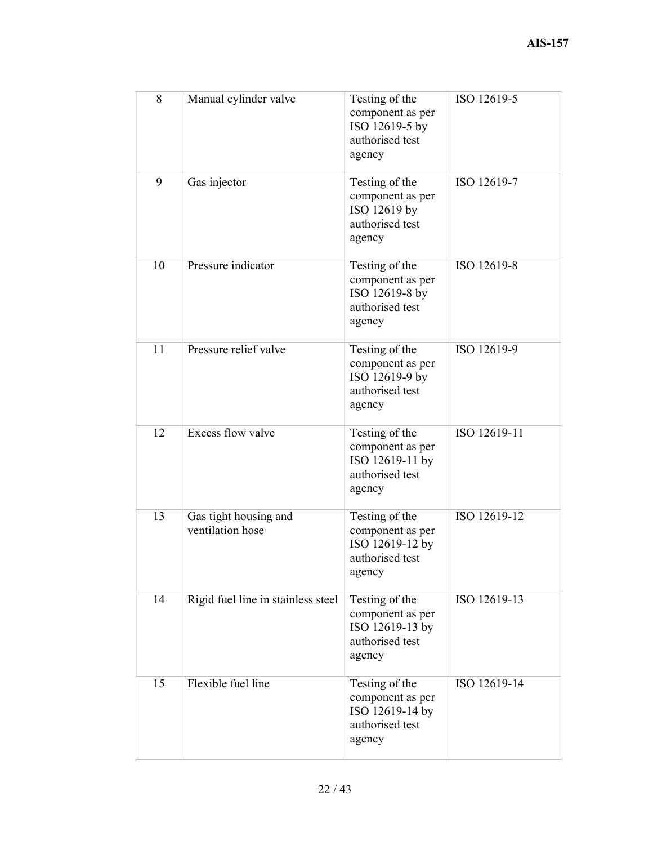| 8  | Manual cylinder valve                     | Testing of the<br>component as per<br>ISO 12619-5 by<br>authorised test<br>agency  | ISO 12619-5  |
|----|-------------------------------------------|------------------------------------------------------------------------------------|--------------|
| 9  | Gas injector                              | Testing of the<br>component as per<br>ISO 12619 by<br>authorised test<br>agency    | ISO 12619-7  |
| 10 | Pressure indicator                        | Testing of the<br>component as per<br>ISO 12619-8 by<br>authorised test<br>agency  | ISO 12619-8  |
| 11 | Pressure relief valve                     | Testing of the<br>component as per<br>ISO 12619-9 by<br>authorised test<br>agency  | ISO 12619-9  |
| 12 | Excess flow valve                         | Testing of the<br>component as per<br>ISO 12619-11 by<br>authorised test<br>agency | ISO 12619-11 |
| 13 | Gas tight housing and<br>ventilation hose | Testing of the<br>component as per<br>ISO 12619-12 by<br>authorised test<br>agency | ISO 12619-12 |
| 14 | Rigid fuel line in stainless steel        | Testing of the<br>component as per<br>ISO 12619-13 by<br>authorised test<br>agency | ISO 12619-13 |
| 15 | Flexible fuel line                        | Testing of the<br>component as per<br>ISO 12619-14 by<br>authorised test<br>agency | ISO 12619-14 |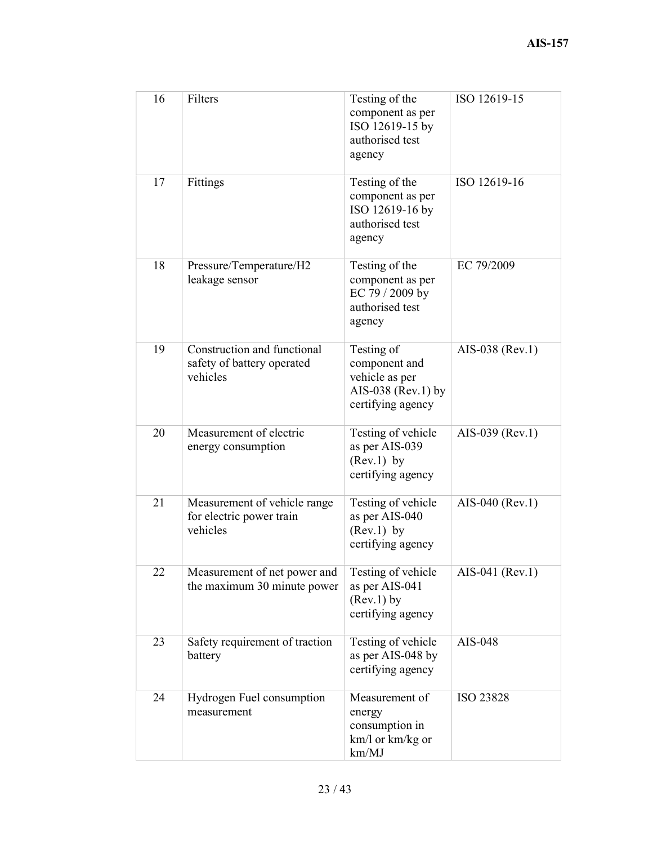| 16 | Filters                                                               | Testing of the<br>component as per<br>ISO 12619-15 by<br>authorised test<br>agency       | ISO 12619-15    |
|----|-----------------------------------------------------------------------|------------------------------------------------------------------------------------------|-----------------|
| 17 | Fittings                                                              | Testing of the<br>component as per<br>ISO 12619-16 by<br>authorised test<br>agency       | ISO 12619-16    |
| 18 | Pressure/Temperature/H2<br>leakage sensor                             | Testing of the<br>component as per<br>EC 79 / 2009 by<br>authorised test<br>agency       | EC 79/2009      |
| 19 | Construction and functional<br>safety of battery operated<br>vehicles | Testing of<br>component and<br>vehicle as per<br>AIS-038 (Rev.1) by<br>certifying agency | AIS-038 (Rev.1) |
| 20 | Measurement of electric<br>energy consumption                         | Testing of vehicle<br>as per AIS-039<br>$(Rev.1)$ by<br>certifying agency                | AIS-039 (Rev.1) |
| 21 | Measurement of vehicle range<br>for electric power train<br>vehicles  | Testing of vehicle<br>as per AIS-040<br>$(Rev.1)$ by<br>certifying agency                | AIS-040 (Rev.1) |
| 22 | Measurement of net power and<br>the maximum 30 minute power           | Testing of vehicle<br>as per AIS-041<br>(Rev.1) by<br>certifying agency                  | AIS-041 (Rev.1) |
| 23 | Safety requirement of traction<br>battery                             | Testing of vehicle<br>as per AIS-048 by<br>certifying agency                             | AIS-048         |
| 24 | Hydrogen Fuel consumption<br>measurement                              | Measurement of<br>energy<br>consumption in<br>km/l or km/kg or<br>km/MJ                  | ISO 23828       |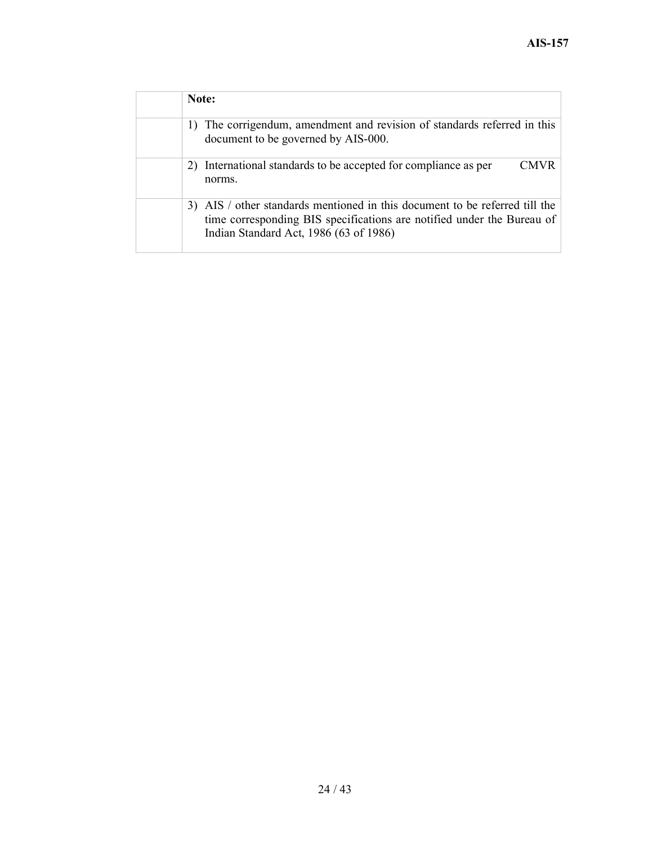| Note:                                                                                                                                                                                           |
|-------------------------------------------------------------------------------------------------------------------------------------------------------------------------------------------------|
| 1) The corrigendum, amendment and revision of standards referred in this<br>document to be governed by AIS-000.                                                                                 |
| 2) International standards to be accepted for compliance as per<br>CMVR<br>norms.                                                                                                               |
| 3) AIS / other standards mentioned in this document to be referred till the<br>time corresponding BIS specifications are notified under the Bureau of<br>Indian Standard Act, 1986 (63 of 1986) |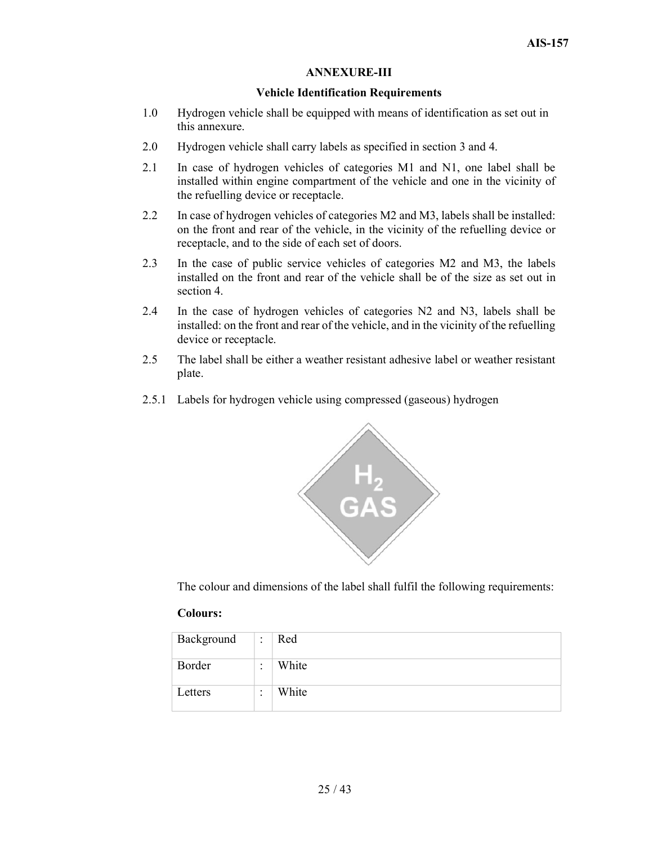#### ANNEXURE-III

#### Vehicle Identification Requirements

- 1.0 Hydrogen vehicle shall be equipped with means of identification as set out in this annexure.
- 2.0 Hydrogen vehicle shall carry labels as specified in section 3 and 4.
- 2.1 In case of hydrogen vehicles of categories M1 and N1, one label shall be installed within engine compartment of the vehicle and one in the vicinity of the refuelling device or receptacle.
- 2.2 In case of hydrogen vehicles of categories M2 and M3, labels shall be installed: on the front and rear of the vehicle, in the vicinity of the refuelling device or receptacle, and to the side of each set of doors.
- 2.3 In the case of public service vehicles of categories M2 and M3, the labels installed on the front and rear of the vehicle shall be of the size as set out in section 4.
- 2.4 In the case of hydrogen vehicles of categories N2 and N3, labels shall be installed: on the front and rear of the vehicle, and in the vicinity of the refuelling device or receptacle.
- 2.5 The label shall be either a weather resistant adhesive label or weather resistant plate.
- 2.5.1 Labels for hydrogen vehicle using compressed (gaseous) hydrogen



The colour and dimensions of the label shall fulfil the following requirements:

#### Colours:

| Background | ٠<br>۰ | Red   |
|------------|--------|-------|
| Border     | ٠<br>۰ | White |
| Letters    | ٠<br>٠ | White |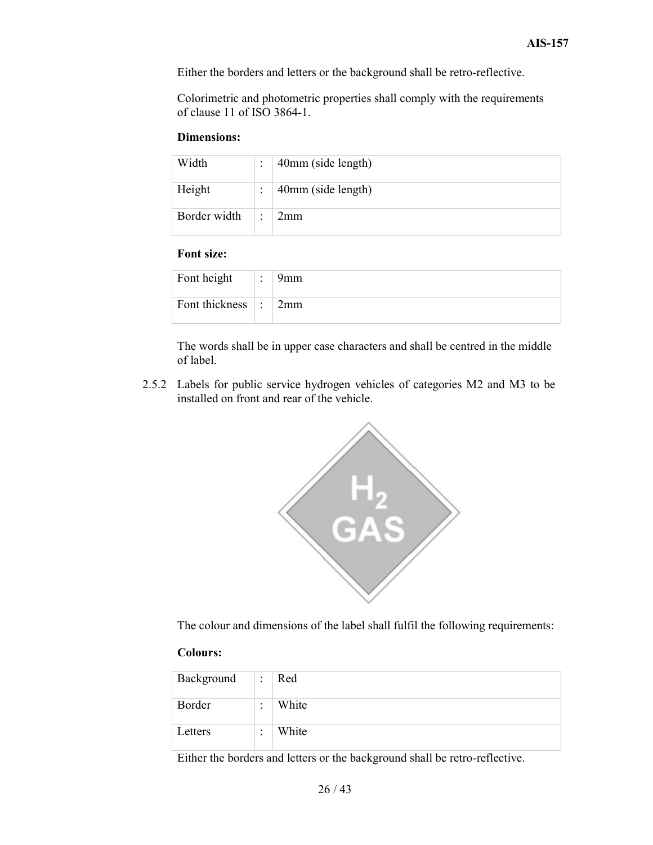Either the borders and letters or the background shall be retro-reflective.

Colorimetric and photometric properties shall comply with the requirements of clause 11 of ISO 3864-1.

#### Dimensions:

| Width        | ٠ | 40mm (side length) |
|--------------|---|--------------------|
| Height       |   | 40mm (side length) |
| Border width | ٠ | 2mm                |

#### Font size:

| Font height    | $\bullet$<br>$\bullet$   | 9mm |
|----------------|--------------------------|-----|
| Font thickness | $\overline{\phantom{a}}$ | 2mm |

The words shall be in upper case characters and shall be centred in the middle of label.

2.5.2 Labels for public service hydrogen vehicles of categories M2 and M3 to be installed on front and rear of the vehicle.



The colour and dimensions of the label shall fulfil the following requirements:

#### Colours:

| Background | $\bullet$<br>$\cdot$ | Red   |
|------------|----------------------|-------|
| Border     | ٠<br>$\bullet$       | White |
| Letters    | ٠<br>$\bullet$       | White |

Either the borders and letters or the background shall be retro-reflective.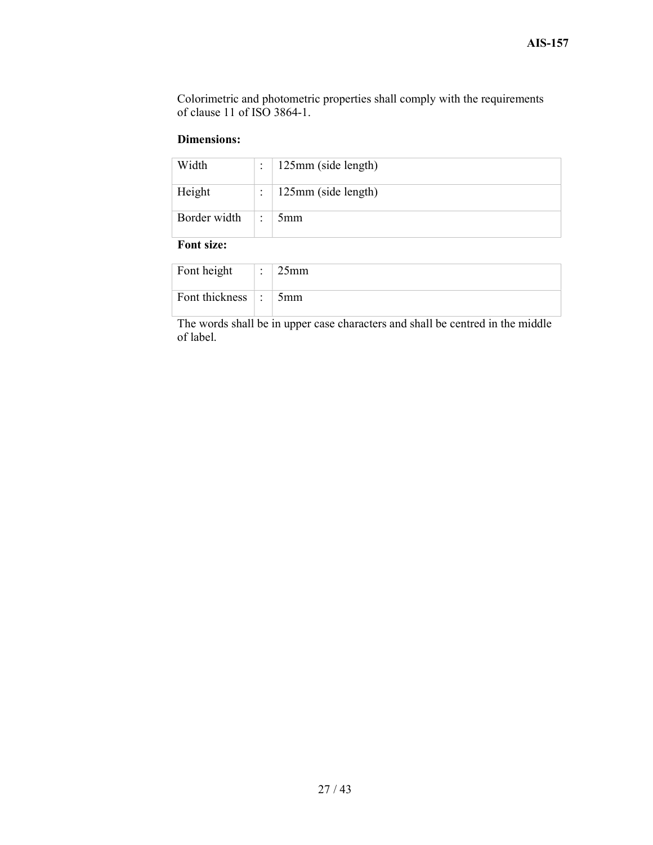Colorimetric and photometric properties shall comply with the requirements of clause 11 of ISO 3864-1.

#### Dimensions:

| Width        |   | 125mm (side length) |
|--------------|---|---------------------|
| Height       |   | 125mm (side length) |
| Border width | ٠ | 5mm                 |

#### Font size:

| Font height      | $\cdot$<br>٠ | $25$ mm |
|------------------|--------------|---------|
| Font thickness : |              | 5mm     |

The words shall be in upper case characters and shall be centred in the middle of label.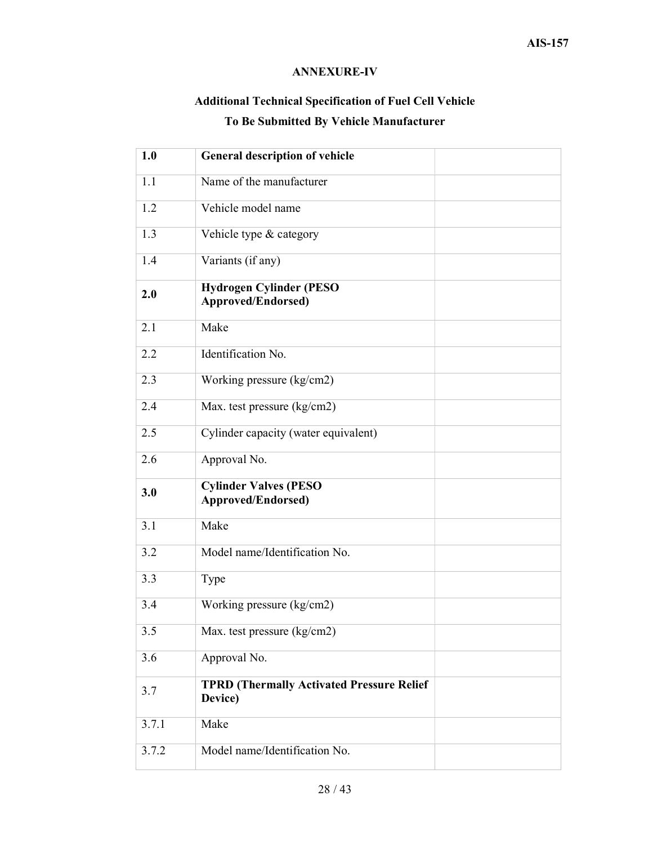## ANNEXURE-IV

## Additional Technical Specification of Fuel Cell Vehicle To Be Submitted By Vehicle Manufacturer

| 1.0   | <b>General description of vehicle</b>                        |  |
|-------|--------------------------------------------------------------|--|
| 1.1   | Name of the manufacturer                                     |  |
| 1.2   | Vehicle model name                                           |  |
| 1.3   | Vehicle type & category                                      |  |
| 1.4   | Variants (if any)                                            |  |
| 2.0   | <b>Hydrogen Cylinder (PESO)</b><br><b>Approved/Endorsed)</b> |  |
| 2.1   | Make                                                         |  |
| 2.2   | Identification No.                                           |  |
| 2.3   | Working pressure (kg/cm2)                                    |  |
| 2.4   | Max. test pressure (kg/cm2)                                  |  |
| 2.5   | Cylinder capacity (water equivalent)                         |  |
| 2.6   | Approval No.                                                 |  |
| 3.0   | <b>Cylinder Valves (PESO)</b><br>Approved/Endorsed)          |  |
| 3.1   | Make                                                         |  |
| 3.2   | Model name/Identification No.                                |  |
| 3.3   | Type                                                         |  |
| 3.4   | Working pressure (kg/cm2)                                    |  |
| 3.5   | Max. test pressure (kg/cm2)                                  |  |
| 3.6   | Approval No.                                                 |  |
| 3.7   | <b>TPRD (Thermally Activated Pressure Relief</b><br>Device)  |  |
| 3.7.1 | Make                                                         |  |
| 3.7.2 | Model name/Identification No.                                |  |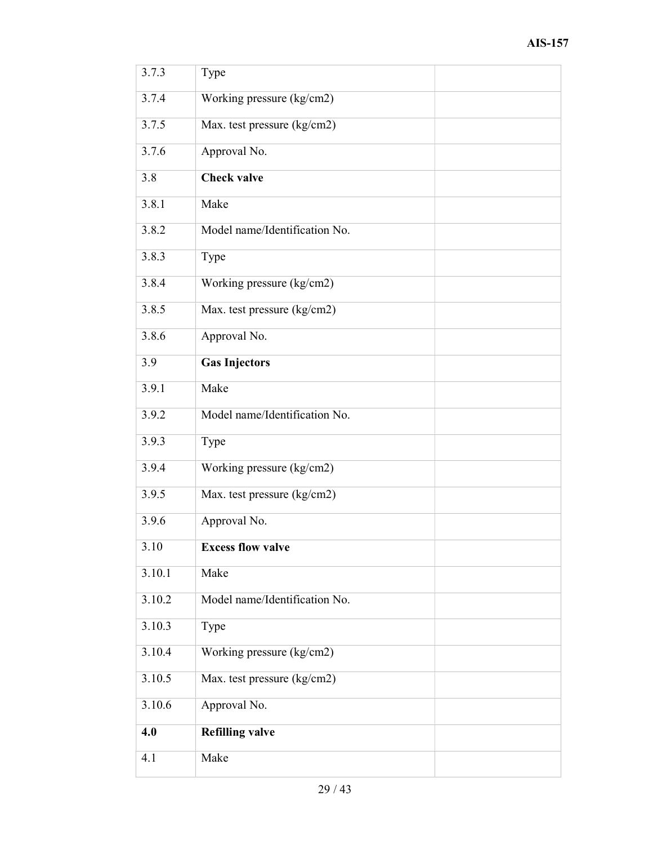| 3.7.3  | Type                          |
|--------|-------------------------------|
| 3.7.4  | Working pressure (kg/cm2)     |
| 3.7.5  | Max. test pressure (kg/cm2)   |
| 3.7.6  | Approval No.                  |
| 3.8    | <b>Check valve</b>            |
| 3.8.1  | Make                          |
| 3.8.2  | Model name/Identification No. |
| 3.8.3  | Type                          |
| 3.8.4  | Working pressure (kg/cm2)     |
| 3.8.5  | Max. test pressure (kg/cm2)   |
| 3.8.6  | Approval No.                  |
| 3.9    | <b>Gas Injectors</b>          |
| 3.9.1  | Make                          |
| 3.9.2  | Model name/Identification No. |
| 3.9.3  | Type                          |
| 3.9.4  | Working pressure (kg/cm2)     |
| 3.9.5  | Max. test pressure (kg/cm2)   |
| 3.9.6  | Approval No.                  |
| 3.10   | <b>Excess flow valve</b>      |
| 3.10.1 | Make                          |
| 3.10.2 | Model name/Identification No. |
| 3.10.3 | Type                          |
| 3.10.4 | Working pressure (kg/cm2)     |
| 3.10.5 | Max. test pressure (kg/cm2)   |
| 3.10.6 | Approval No.                  |
| 4.0    | <b>Refilling valve</b>        |
| 4.1    | Make                          |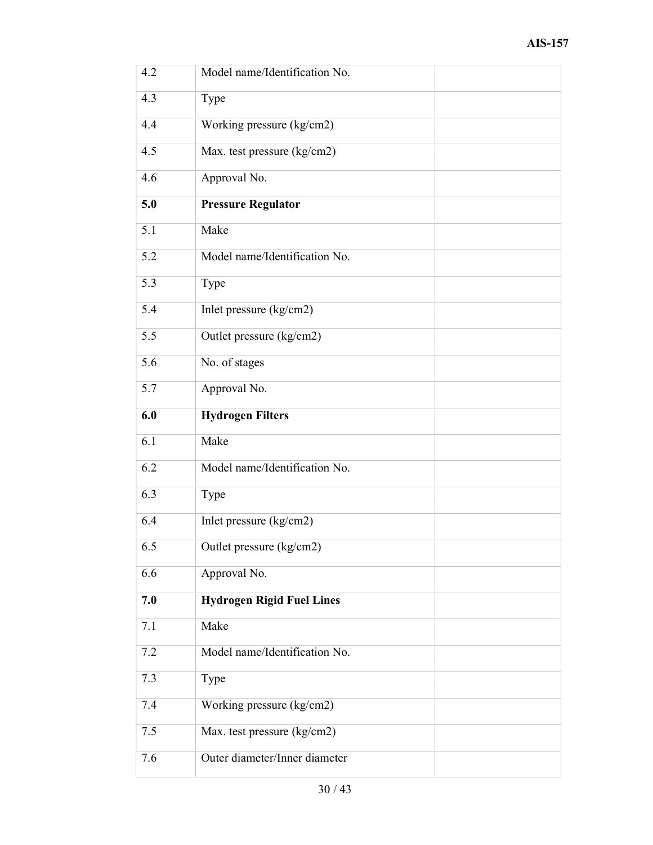| 4.2 | Model name/Identification No.    |
|-----|----------------------------------|
| 4.3 | Type                             |
| 4.4 | Working pressure (kg/cm2)        |
| 4.5 | Max. test pressure (kg/cm2)      |
| 4.6 | Approval No.                     |
| 5.0 | <b>Pressure Regulator</b>        |
| 5.1 | Make                             |
| 5.2 | Model name/Identification No.    |
| 5.3 | Type                             |
| 5.4 | Inlet pressure (kg/cm2)          |
| 5.5 | Outlet pressure (kg/cm2)         |
| 5.6 | No. of stages                    |
| 5.7 | Approval No.                     |
| 6.0 | <b>Hydrogen Filters</b>          |
| 6.1 | Make                             |
| 6.2 | Model name/Identification No.    |
| 6.3 | Type                             |
| 6.4 | Inlet pressure (kg/cm2)          |
| 6.5 | Outlet pressure (kg/cm2)         |
| 6.6 | Approval No.                     |
| 7.0 | <b>Hydrogen Rigid Fuel Lines</b> |
| 7.1 | Make                             |
| 7.2 | Model name/Identification No.    |
| 7.3 | Type                             |
| 7.4 | Working pressure (kg/cm2)        |
| 7.5 | Max. test pressure (kg/cm2)      |
| 7.6 | Outer diameter/Inner diameter    |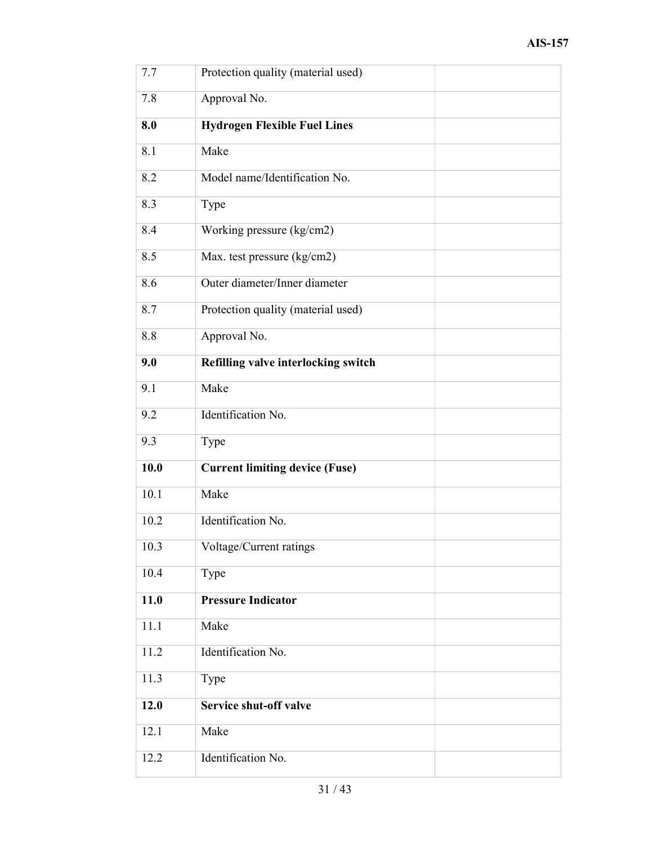| 7.7  | Protection quality (material used)    |
|------|---------------------------------------|
| 7.8  | Approval No.                          |
| 8.0  | <b>Hydrogen Flexible Fuel Lines</b>   |
| 8.1  | Make                                  |
| 8.2  | Model name/Identification No.         |
| 8.3  | Type                                  |
| 8.4  | Working pressure (kg/cm2)             |
| 8.5  | Max. test pressure (kg/cm2)           |
| 8.6  | Outer diameter/Inner diameter         |
| 8.7  | Protection quality (material used)    |
| 8.8  | Approval No.                          |
| 9.0  | Refilling valve interlocking switch   |
| 9.1  | Make                                  |
| 9.2  | Identification No.                    |
| 9.3  | Type                                  |
| 10.0 | <b>Current limiting device (Fuse)</b> |
| 10.1 | Make                                  |
| 10.2 | Identification No.                    |
| 10.3 | Voltage/Current ratings               |
| 10.4 | Type                                  |
| 11.0 | <b>Pressure Indicator</b>             |
| 11.1 | Make                                  |
| 11.2 | Identification No.                    |
| 11.3 | Type                                  |
| 12.0 | Service shut-off valve                |
| 12.1 | Make                                  |
| 12.2 | Identification No.                    |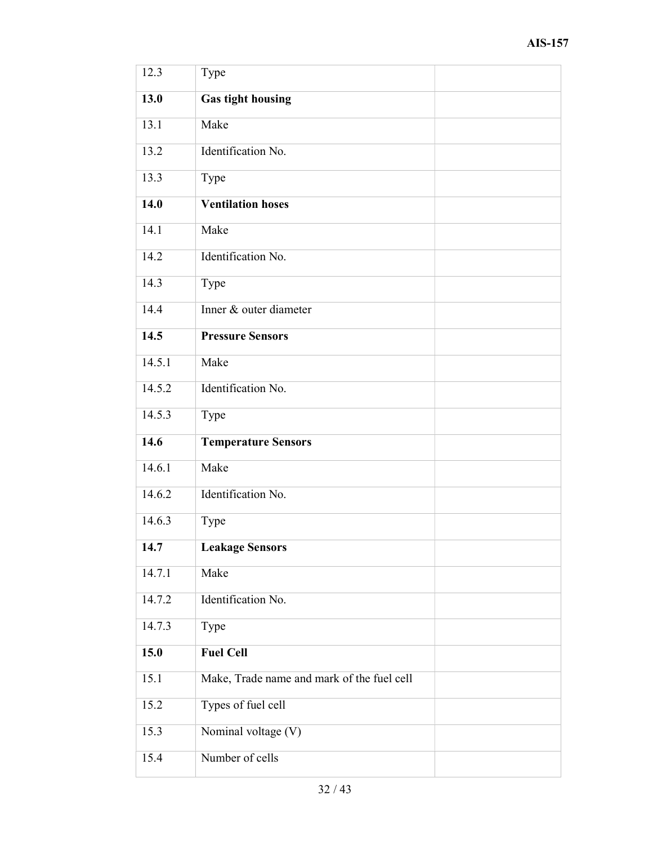| 12.3   | Type                                       |  |
|--------|--------------------------------------------|--|
| 13.0   | <b>Gas tight housing</b>                   |  |
| 13.1   | Make                                       |  |
| 13.2   | Identification No.                         |  |
| 13.3   | Type                                       |  |
| 14.0   | <b>Ventilation hoses</b>                   |  |
| 14.1   | Make                                       |  |
| 14.2   | Identification No.                         |  |
| 14.3   | Type                                       |  |
| 14.4   | Inner & outer diameter                     |  |
| 14.5   | <b>Pressure Sensors</b>                    |  |
| 14.5.1 | Make                                       |  |
| 14.5.2 | Identification No.                         |  |
| 14.5.3 | Type                                       |  |
| 14.6   | <b>Temperature Sensors</b>                 |  |
| 14.6.1 | Make                                       |  |
| 14.6.2 | Identification No.                         |  |
| 14.6.3 | Type                                       |  |
| 14.7   | <b>Leakage Sensors</b>                     |  |
| 14.7.1 | Make                                       |  |
| 14.7.2 | Identification No.                         |  |
| 14.7.3 | Type                                       |  |
| 15.0   | <b>Fuel Cell</b>                           |  |
| 15.1   | Make, Trade name and mark of the fuel cell |  |
| 15.2   | Types of fuel cell                         |  |
| 15.3   | Nominal voltage (V)                        |  |
| 15.4   | Number of cells                            |  |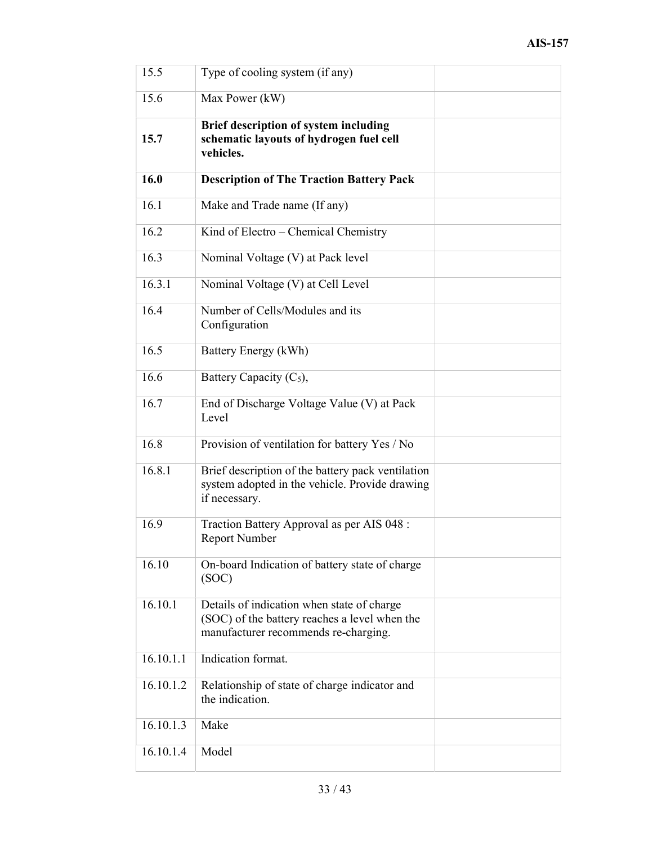| 15.5      | Type of cooling system (if any)                                                                                                     |  |
|-----------|-------------------------------------------------------------------------------------------------------------------------------------|--|
| 15.6      | Max Power (kW)                                                                                                                      |  |
| 15.7      | Brief description of system including<br>schematic layouts of hydrogen fuel cell<br>vehicles.                                       |  |
| 16.0      | <b>Description of The Traction Battery Pack</b>                                                                                     |  |
| 16.1      | Make and Trade name (If any)                                                                                                        |  |
| 16.2      | Kind of Electro – Chemical Chemistry                                                                                                |  |
| 16.3      | Nominal Voltage (V) at Pack level                                                                                                   |  |
| 16.3.1    | Nominal Voltage (V) at Cell Level                                                                                                   |  |
| 16.4      | Number of Cells/Modules and its<br>Configuration                                                                                    |  |
| 16.5      | Battery Energy (kWh)                                                                                                                |  |
| 16.6      | Battery Capacity (C <sub>5</sub> ),                                                                                                 |  |
| 16.7      | End of Discharge Voltage Value (V) at Pack<br>Level                                                                                 |  |
| 16.8      | Provision of ventilation for battery Yes / No                                                                                       |  |
| 16.8.1    | Brief description of the battery pack ventilation<br>system adopted in the vehicle. Provide drawing<br>if necessary.                |  |
| 16.9      | Traction Battery Approval as per AIS 048 :<br><b>Report Number</b>                                                                  |  |
| 16.10     | On-board Indication of battery state of charge<br>(SOC)                                                                             |  |
| 16.10.1   | Details of indication when state of charge<br>(SOC) of the battery reaches a level when the<br>manufacturer recommends re-charging. |  |
| 16.10.1.1 | Indication format.                                                                                                                  |  |
| 16.10.1.2 | Relationship of state of charge indicator and<br>the indication.                                                                    |  |
| 16.10.1.3 | Make                                                                                                                                |  |
| 16.10.1.4 | Model                                                                                                                               |  |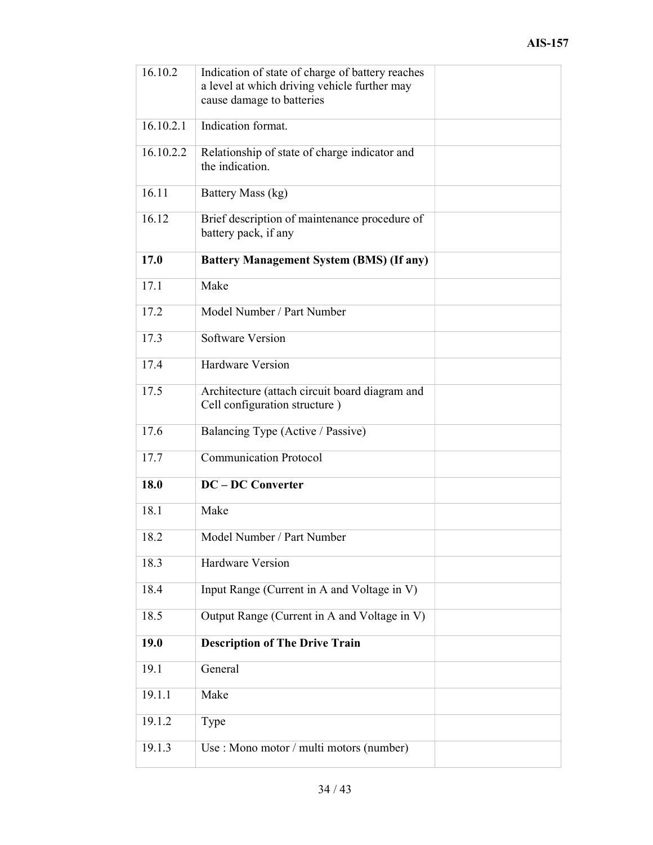| 16.10.2   | Indication of state of charge of battery reaches<br>a level at which driving vehicle further may<br>cause damage to batteries |  |
|-----------|-------------------------------------------------------------------------------------------------------------------------------|--|
| 16.10.2.1 | Indication format.                                                                                                            |  |
| 16.10.2.2 | Relationship of state of charge indicator and<br>the indication.                                                              |  |
| 16.11     | Battery Mass (kg)                                                                                                             |  |
| 16.12     | Brief description of maintenance procedure of<br>battery pack, if any                                                         |  |
| 17.0      | <b>Battery Management System (BMS) (If any)</b>                                                                               |  |
| 17.1      | Make                                                                                                                          |  |
| 17.2      | Model Number / Part Number                                                                                                    |  |
| 17.3      | <b>Software Version</b>                                                                                                       |  |
| 17.4      | <b>Hardware Version</b>                                                                                                       |  |
| 17.5      | Architecture (attach circuit board diagram and<br>Cell configuration structure)                                               |  |
| 17.6      | Balancing Type (Active / Passive)                                                                                             |  |
| 17.7      | <b>Communication Protocol</b>                                                                                                 |  |
| 18.0      | <b>DC</b> - DC Converter                                                                                                      |  |
| 18.1      | Make                                                                                                                          |  |
| 18.2      | Model Number / Part Number                                                                                                    |  |
| 18.3      | Hardware Version                                                                                                              |  |
| 18.4      | Input Range (Current in A and Voltage in V)                                                                                   |  |
| 18.5      | Output Range (Current in A and Voltage in V)                                                                                  |  |
| 19.0      | <b>Description of The Drive Train</b>                                                                                         |  |
| 19.1      | General                                                                                                                       |  |
| 19.1.1    | Make                                                                                                                          |  |
| 19.1.2    | Type                                                                                                                          |  |
| 19.1.3    | Use : Mono motor / multi motors (number)                                                                                      |  |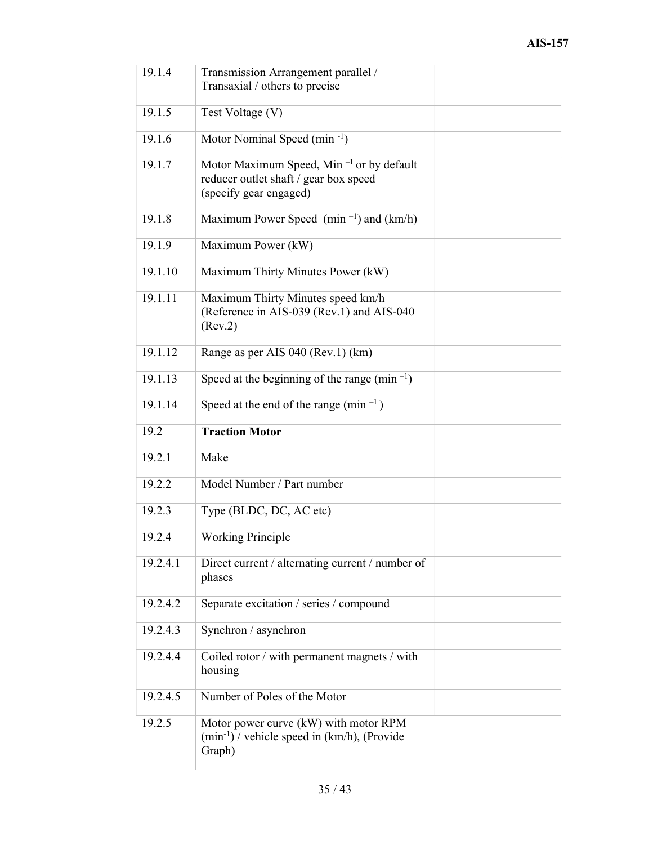| 19.1.4   | Transmission Arrangement parallel /<br>Transaxial / others to precise                                                   |  |
|----------|-------------------------------------------------------------------------------------------------------------------------|--|
| 19.1.5   | Test Voltage (V)                                                                                                        |  |
| 19.1.6   | Motor Nominal Speed (min <sup>-1</sup> )                                                                                |  |
| 19.1.7   | Motor Maximum Speed, Min <sup>-1</sup> or by default<br>reducer outlet shaft / gear box speed<br>(specify gear engaged) |  |
| 19.1.8   | Maximum Power Speed (min <sup><math>-1</math></sup> ) and (km/h)                                                        |  |
| 19.1.9   | Maximum Power (kW)                                                                                                      |  |
| 19.1.10  | Maximum Thirty Minutes Power (kW)                                                                                       |  |
| 19.1.11  | Maximum Thirty Minutes speed km/h<br>(Reference in AIS-039 (Rev.1) and AIS-040<br>(Rev.2)                               |  |
| 19.1.12  | Range as per AIS 040 (Rev.1) (km)                                                                                       |  |
| 19.1.13  | Speed at the beginning of the range (min <sup>-1</sup> )                                                                |  |
| 19.1.14  | Speed at the end of the range (min $^{-1}$ )                                                                            |  |
|          |                                                                                                                         |  |
| 19.2     | <b>Traction Motor</b>                                                                                                   |  |
| 19.2.1   | Make                                                                                                                    |  |
| 19.2.2   | Model Number / Part number                                                                                              |  |
| 19.2.3   | Type (BLDC, DC, AC etc)                                                                                                 |  |
| 19.2.4   | <b>Working Principle</b>                                                                                                |  |
| 19.2.4.1 | Direct current / alternating current / number of<br>phases                                                              |  |
| 19.2.4.2 | Separate excitation / series / compound                                                                                 |  |
| 19.2.4.3 | Synchron / asynchron                                                                                                    |  |
| 19.2.4.4 | Coiled rotor / with permanent magnets / with<br>housing                                                                 |  |
| 19.2.4.5 | Number of Poles of the Motor                                                                                            |  |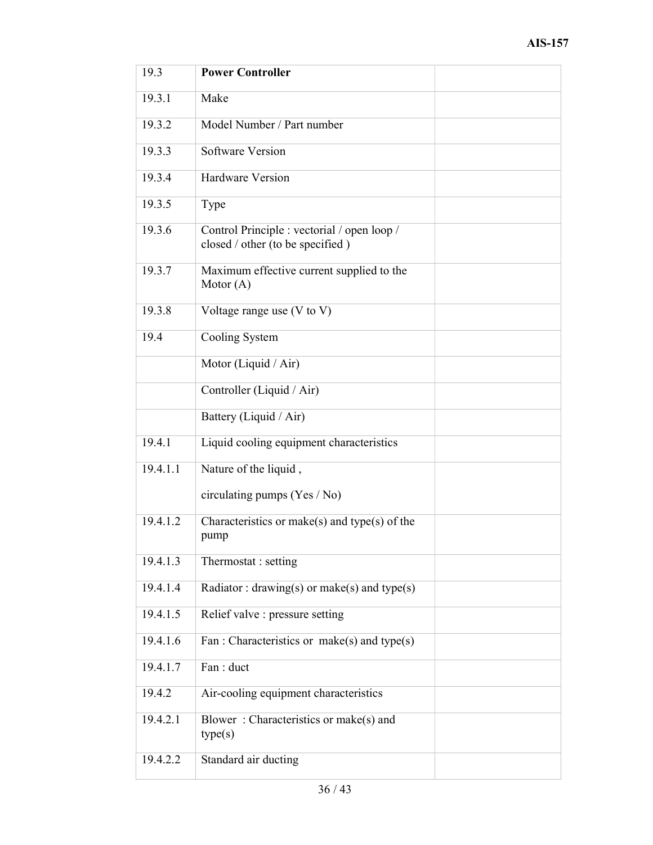| 19.3     | <b>Power Controller</b>                                                         |
|----------|---------------------------------------------------------------------------------|
| 19.3.1   | Make                                                                            |
| 19.3.2   | Model Number / Part number                                                      |
| 19.3.3   | Software Version                                                                |
| 19.3.4   | <b>Hardware Version</b>                                                         |
| 19.3.5   | Type                                                                            |
| 19.3.6   | Control Principle : vectorial / open loop /<br>closed / other (to be specified) |
| 19.3.7   | Maximum effective current supplied to the<br>Motor $(A)$                        |
| 19.3.8   | Voltage range use $(V \text{ to } V)$                                           |
| 19.4     | Cooling System                                                                  |
|          | Motor (Liquid / Air)                                                            |
|          | Controller (Liquid / Air)                                                       |
|          | Battery (Liquid / Air)                                                          |
| 19.4.1   | Liquid cooling equipment characteristics                                        |
| 19.4.1.1 | Nature of the liquid,                                                           |
|          | circulating pumps (Yes / No)                                                    |
| 19.4.1.2 | Characteristics or make(s) and type(s) of the<br>pump                           |
| 19.4.1.3 | Thermostat : setting                                                            |
| 19.4.1.4 | Radiator: $drawing(s)$ or make(s) and type(s)                                   |
| 19.4.1.5 | Relief valve : pressure setting                                                 |
| 19.4.1.6 | Fan : Characteristics or make(s) and type(s)                                    |
| 19.4.1.7 | Fan: duct                                                                       |
| 19.4.2   | Air-cooling equipment characteristics                                           |
| 19.4.2.1 | Blower: Characteristics or make(s) and<br>type(s)                               |
| 19.4.2.2 | Standard air ducting                                                            |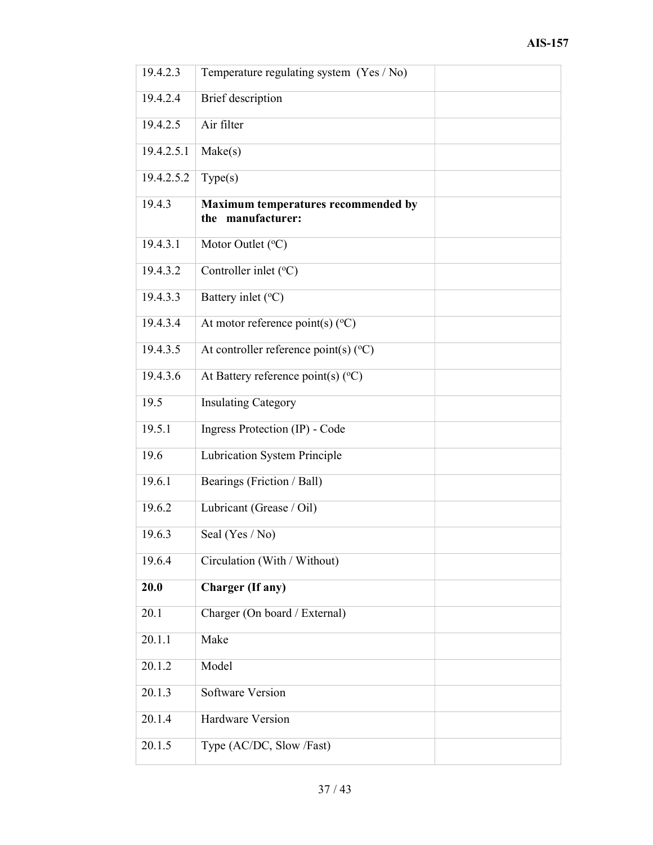| 19.4.2.3              | Temperature regulating system (Yes / No)                 |  |
|-----------------------|----------------------------------------------------------|--|
| 19.4.2.4              | Brief description                                        |  |
| 19.4.2.5              | Air filter                                               |  |
| 19.4.2.5.1            | Make(s)                                                  |  |
| 19.4.2.5.2            | Type(s)                                                  |  |
| 19.4.3                | Maximum temperatures recommended by<br>the manufacturer: |  |
| 19.4.3.1              | Motor Outlet (°C)                                        |  |
| $19.4.3.\overline{2}$ | Controller inlet (°C)                                    |  |
| 19.4.3.3              | Battery inlet (°C)                                       |  |
| 19.4.3.4              | At motor reference point(s) $(^{\circ}C)$                |  |
| 19.4.3.5              | At controller reference point(s) $(^{\circ}C)$           |  |
| 19.4.3.6              | At Battery reference point(s) (°C)                       |  |
| 19.5                  | <b>Insulating Category</b>                               |  |
| 19.5.1                | Ingress Protection (IP) - Code                           |  |
| 19.6                  | Lubrication System Principle                             |  |
| 19.6.1                | Bearings (Friction / Ball)                               |  |
| 19.6.2                | Lubricant (Grease / Oil)                                 |  |
| 19.6.3                | Seal (Yes / No)                                          |  |
| 19.6.4                | Circulation (With / Without)                             |  |
| 20.0                  | <b>Charger</b> (If any)                                  |  |
| 20.1                  | Charger (On board / External)                            |  |
| 20.1.1                | Make                                                     |  |
| 20.1.2                | Model                                                    |  |
| 20.1.3                | <b>Software Version</b>                                  |  |
| 20.1.4                | <b>Hardware Version</b>                                  |  |
| 20.1.5                | Type (AC/DC, Slow /Fast)                                 |  |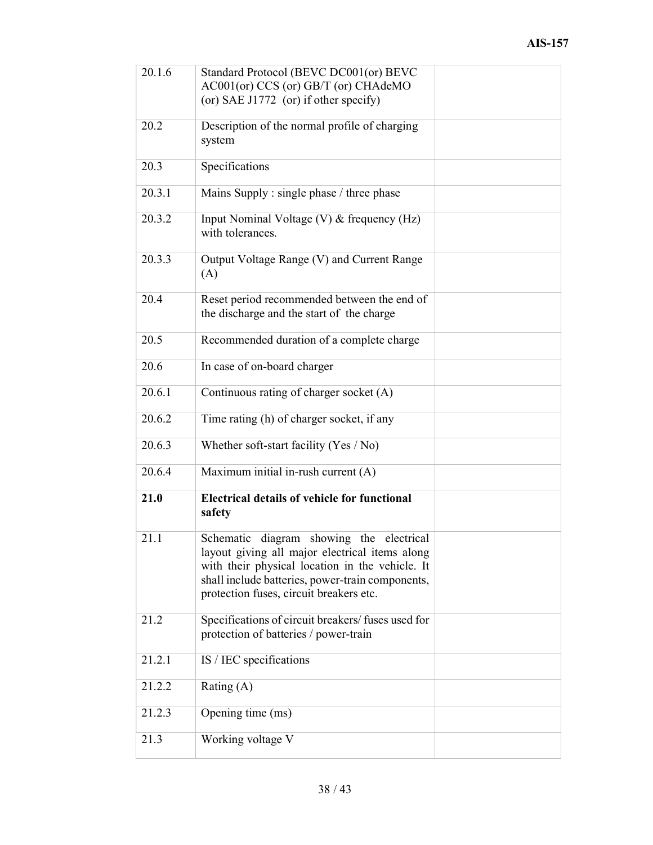| 20.1.6 | Standard Protocol (BEVC DC001(or) BEVC<br>AC001(or) CCS (or) GB/T (or) CHAdeMO<br>(or) SAE J1772 (or) if other specify)                                                                                                                      |  |
|--------|----------------------------------------------------------------------------------------------------------------------------------------------------------------------------------------------------------------------------------------------|--|
| 20.2   | Description of the normal profile of charging<br>system                                                                                                                                                                                      |  |
| 20.3   | Specifications                                                                                                                                                                                                                               |  |
| 20.3.1 | Mains Supply : single phase / three phase                                                                                                                                                                                                    |  |
| 20.3.2 | Input Nominal Voltage (V) & frequency (Hz)<br>with tolerances.                                                                                                                                                                               |  |
| 20.3.3 | Output Voltage Range (V) and Current Range<br>(A)                                                                                                                                                                                            |  |
| 20.4   | Reset period recommended between the end of<br>the discharge and the start of the charge                                                                                                                                                     |  |
| 20.5   | Recommended duration of a complete charge                                                                                                                                                                                                    |  |
| 20.6   | In case of on-board charger                                                                                                                                                                                                                  |  |
| 20.6.1 | Continuous rating of charger socket (A)                                                                                                                                                                                                      |  |
| 20.6.2 | Time rating (h) of charger socket, if any                                                                                                                                                                                                    |  |
| 20.6.3 | Whether soft-start facility (Yes / No)                                                                                                                                                                                                       |  |
| 20.6.4 | Maximum initial in-rush current (A)                                                                                                                                                                                                          |  |
| 21.0   | <b>Electrical details of vehicle for functional</b><br>safety                                                                                                                                                                                |  |
| 21.1   | Schematic diagram showing the electrical<br>layout giving all major electrical items along<br>with their physical location in the vehicle. It<br>shall include batteries, power-train components,<br>protection fuses, circuit breakers etc. |  |
| 21.2   | Specifications of circuit breakers/ fuses used for<br>protection of batteries / power-train                                                                                                                                                  |  |
| 21.2.1 | IS / IEC specifications                                                                                                                                                                                                                      |  |
| 21.2.2 | Rating $(A)$                                                                                                                                                                                                                                 |  |
| 21.2.3 | Opening time (ms)                                                                                                                                                                                                                            |  |
| 21.3   | Working voltage V                                                                                                                                                                                                                            |  |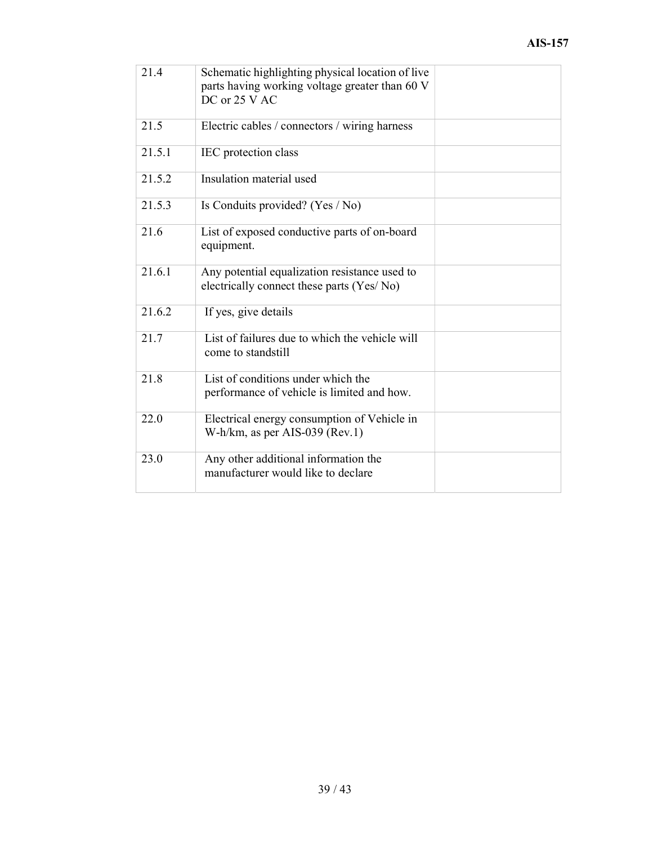| 21.4                | Schematic highlighting physical location of live<br>parts having working voltage greater than 60 V<br>DC or 25 V AC |  |
|---------------------|---------------------------------------------------------------------------------------------------------------------|--|
| 21.5                | Electric cables / connectors / wiring harness                                                                       |  |
| 21.5.1              | IEC protection class                                                                                                |  |
| 21.5.2              | Insulation material used                                                                                            |  |
| 21.5.3              | Is Conduits provided? (Yes / No)                                                                                    |  |
| 21.6                | List of exposed conductive parts of on-board<br>equipment.                                                          |  |
| 21.6.1              | Any potential equalization resistance used to<br>electrically connect these parts (Yes/No)                          |  |
| $21.6.\overline{2}$ | If yes, give details                                                                                                |  |
| 21.7                | List of failures due to which the vehicle will<br>come to standstill                                                |  |
| 21.8                | List of conditions under which the<br>performance of vehicle is limited and how.                                    |  |
| 22.0                | Electrical energy consumption of Vehicle in<br>W-h/km, as per AIS-039 (Rev.1)                                       |  |
| 23.0                | Any other additional information the<br>manufacturer would like to declare                                          |  |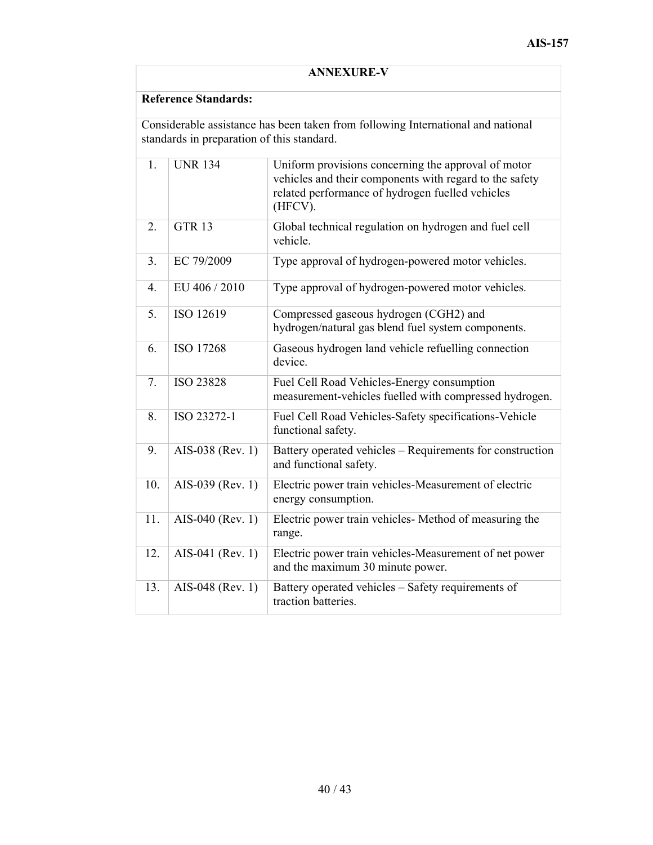| <b>ANNEXURE-V</b>                                                                                                              |                             |                                                                                                                                                                               |
|--------------------------------------------------------------------------------------------------------------------------------|-----------------------------|-------------------------------------------------------------------------------------------------------------------------------------------------------------------------------|
|                                                                                                                                | <b>Reference Standards:</b> |                                                                                                                                                                               |
| Considerable assistance has been taken from following International and national<br>standards in preparation of this standard. |                             |                                                                                                                                                                               |
| 1.                                                                                                                             | <b>UNR 134</b>              | Uniform provisions concerning the approval of motor<br>vehicles and their components with regard to the safety<br>related performance of hydrogen fuelled vehicles<br>(HFCV). |
| 2.                                                                                                                             | <b>GTR 13</b>               | Global technical regulation on hydrogen and fuel cell<br>vehicle.                                                                                                             |
| 3.                                                                                                                             | EC 79/2009                  | Type approval of hydrogen-powered motor vehicles.                                                                                                                             |
| $\overline{4}$ .                                                                                                               | EU 406 / 2010               | Type approval of hydrogen-powered motor vehicles.                                                                                                                             |
| 5.                                                                                                                             | ISO 12619                   | Compressed gaseous hydrogen (CGH2) and<br>hydrogen/natural gas blend fuel system components.                                                                                  |
| 6.                                                                                                                             | ISO 17268                   | Gaseous hydrogen land vehicle refuelling connection<br>device.                                                                                                                |
| 7.                                                                                                                             | <b>ISO 23828</b>            | Fuel Cell Road Vehicles-Energy consumption<br>measurement-vehicles fuelled with compressed hydrogen.                                                                          |
| 8.                                                                                                                             | ISO 23272-1                 | Fuel Cell Road Vehicles-Safety specifications-Vehicle<br>functional safety.                                                                                                   |
| 9.                                                                                                                             | AIS-038 (Rev. 1)            | Battery operated vehicles – Requirements for construction<br>and functional safety.                                                                                           |
| 10.                                                                                                                            | AIS-039 (Rev. 1)            | Electric power train vehicles-Measurement of electric<br>energy consumption.                                                                                                  |
| 11.                                                                                                                            | AIS-040 (Rev. 1)            | Electric power train vehicles- Method of measuring the<br>range.                                                                                                              |
| 12.                                                                                                                            | AIS-041 (Rev. 1)            | Electric power train vehicles-Measurement of net power<br>and the maximum 30 minute power.                                                                                    |
| 13.                                                                                                                            | AIS-048 (Rev. 1)            | Battery operated vehicles - Safety requirements of<br>traction batteries.                                                                                                     |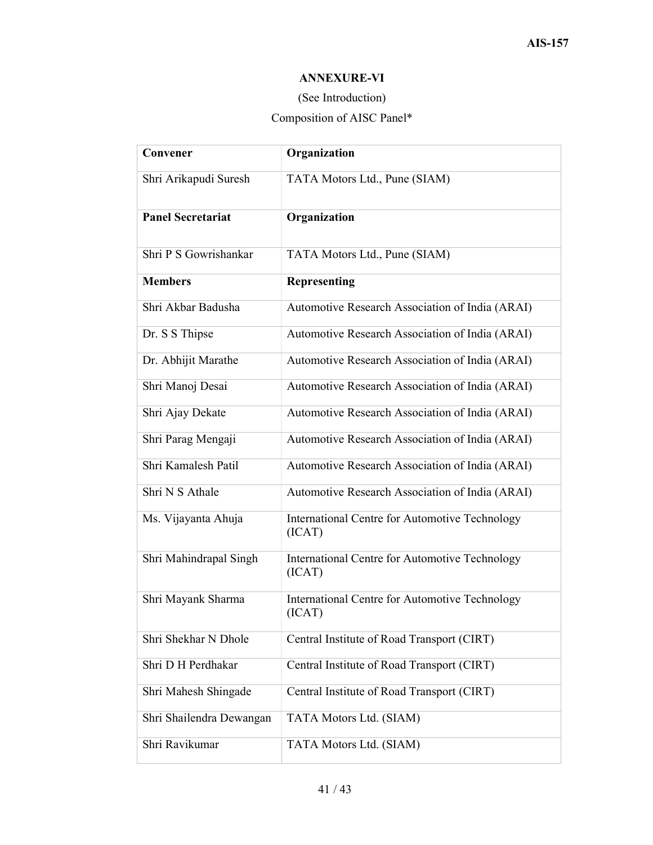## ANNEXURE-VI

## (See Introduction)

## Composition of AISC Panel\*

| Convener                 | Organization                                             |
|--------------------------|----------------------------------------------------------|
| Shri Arikapudi Suresh    | TATA Motors Ltd., Pune (SIAM)                            |
| <b>Panel Secretariat</b> | Organization                                             |
| Shri P S Gowrishankar    | TATA Motors Ltd., Pune (SIAM)                            |
| <b>Members</b>           | <b>Representing</b>                                      |
| Shri Akbar Badusha       | Automotive Research Association of India (ARAI)          |
| Dr. S S Thipse           | Automotive Research Association of India (ARAI)          |
| Dr. Abhijit Marathe      | Automotive Research Association of India (ARAI)          |
| Shri Manoj Desai         | Automotive Research Association of India (ARAI)          |
| Shri Ajay Dekate         | Automotive Research Association of India (ARAI)          |
| Shri Parag Mengaji       | Automotive Research Association of India (ARAI)          |
| Shri Kamalesh Patil      | Automotive Research Association of India (ARAI)          |
| Shri N S Athale          | Automotive Research Association of India (ARAI)          |
| Ms. Vijayanta Ahuja      | International Centre for Automotive Technology<br>(ICAT) |
| Shri Mahindrapal Singh   | International Centre for Automotive Technology<br>(ICAT) |
| Shri Mayank Sharma       | International Centre for Automotive Technology<br>(ICAT) |
| Shri Shekhar N Dhole     | Central Institute of Road Transport (CIRT)               |
| Shri D H Perdhakar       | Central Institute of Road Transport (CIRT)               |
| Shri Mahesh Shingade     | Central Institute of Road Transport (CIRT)               |
| Shri Shailendra Dewangan | TATA Motors Ltd. (SIAM)                                  |
| Shri Ravikumar           | TATA Motors Ltd. (SIAM)                                  |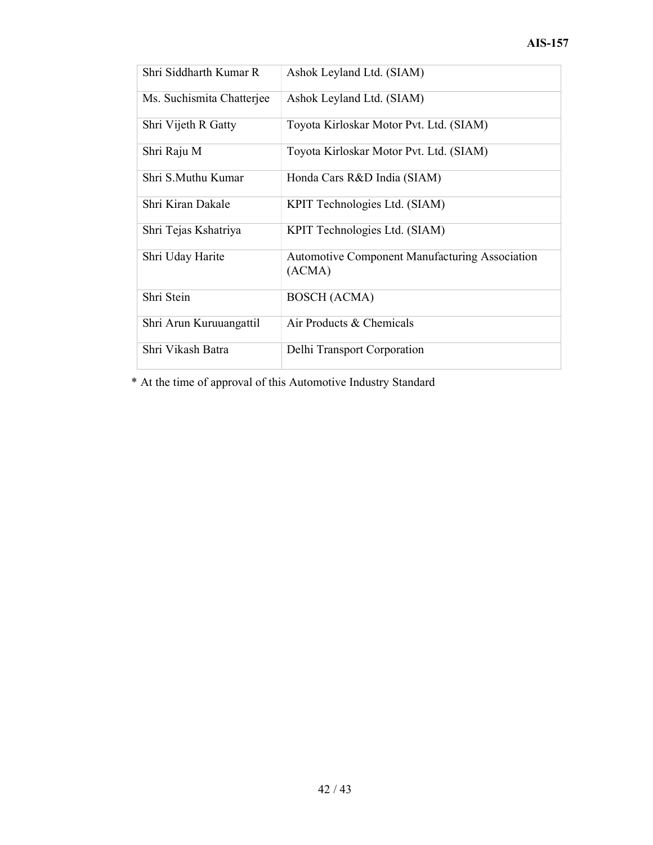| Shri Siddharth Kumar R    | Ashok Leyland Ltd. (SIAM)                                       |
|---------------------------|-----------------------------------------------------------------|
| Ms. Suchismita Chatterjee | Ashok Leyland Ltd. (SIAM)                                       |
| Shri Vijeth R Gatty       | Toyota Kirloskar Motor Pvt. Ltd. (SIAM)                         |
| Shri Raju M               | Toyota Kirloskar Motor Pvt. Ltd. (SIAM)                         |
| Shri S.Muthu Kumar        | Honda Cars R&D India (SIAM)                                     |
| Shri Kiran Dakale         | KPIT Technologies Ltd. (SIAM)                                   |
| Shri Tejas Kshatriya      | KPIT Technologies Ltd. (SIAM)                                   |
| Shri Uday Harite          | <b>Automotive Component Manufacturing Association</b><br>(ACMA) |
| Shri Stein                | <b>BOSCH</b> (ACMA)                                             |
| Shri Arun Kuruuangattil   | Air Products & Chemicals                                        |
| Shri Vikash Batra         | Delhi Transport Corporation                                     |

\* At the time of approval of this Automotive Industry Standard